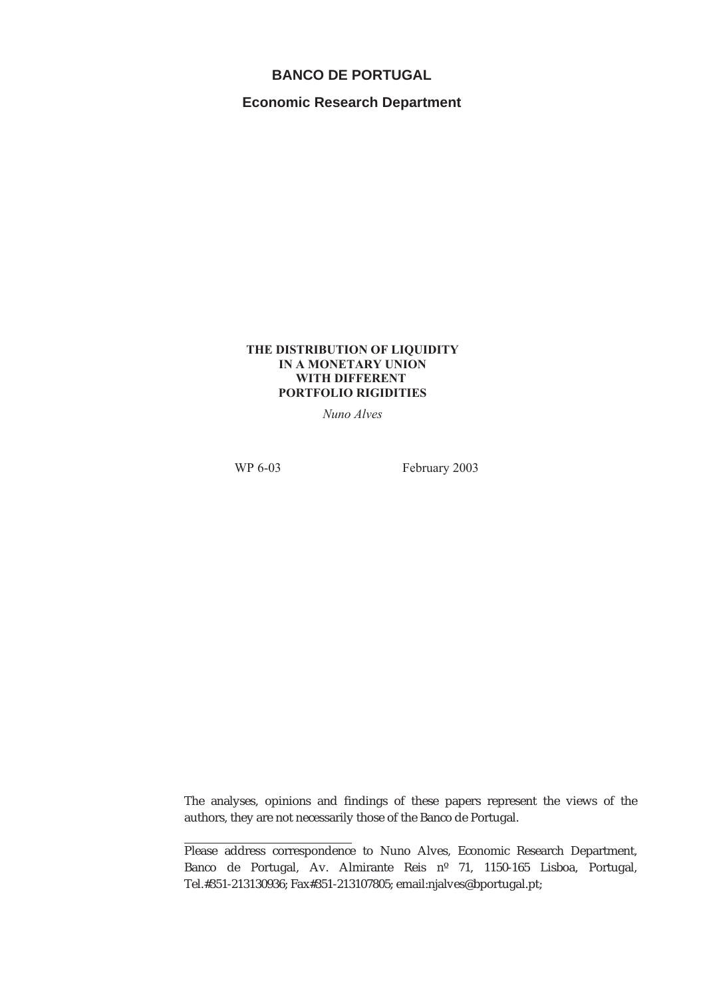## **BANCO DE PORTUGAL**

**Economic Research Department**

### **THE DISTRIBUTION OF LIQUIDITY IN A MONETARY UNION WITH DIFFERENT PORTFOLIO RIGIDITIES**

*Nuno Alves*

WP 6-03 February 2003

The analyses, opinions and findings of these papers represent the views of the authors, they are not necessarily those of the Banco de Portugal.

Please address correspondence to Nuno Alves, Economic Research Department, Banco de Portugal, Av. Almirante Reis nº 71, 1150-165 Lisboa, Portugal, Tel.#351-213130936; Fax#351-213107805; email:njalves@bportugal.pt;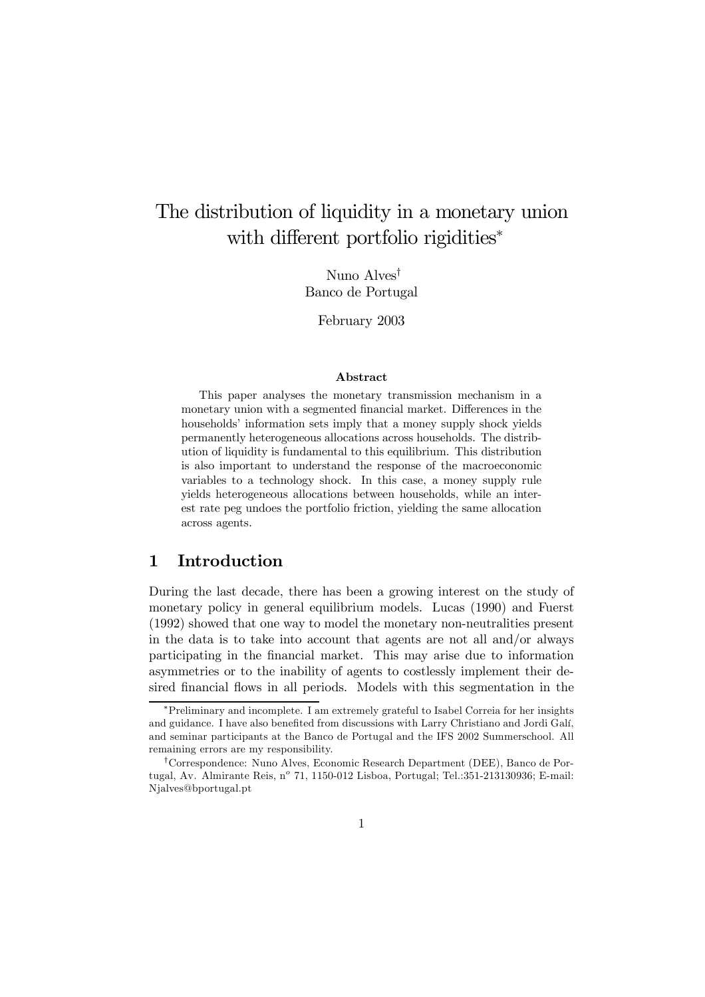# The distribution of liquidity in a monetary union with different portfolio rigidities<sup>\*</sup>

Nuno Alves† Banco de Portugal

February 2003

#### Abstract

This paper analyses the monetary transmission mechanism in a monetary union with a segmented financial market. Differences in the households' information sets imply that a money supply shock yields permanently heterogeneous allocations across households. The distribution of liquidity is fundamental to this equilibrium. This distribution is also important to understand the response of the macroeconomic variables to a technology shock. In this case, a money supply rule yields heterogeneous allocations between households, while an interest rate peg undoes the portfolio friction, yielding the same allocation across agents.

## 1 Introduction

During the last decade, there has been a growing interest on the study of monetary policy in general equilibrium models. Lucas (1990) and Fuerst (1992) showed that one way to model the monetary non-neutralities present in the data is to take into account that agents are not all and/or always participating in the financial market. This may arise due to information asymmetries or to the inability of agents to costlessly implement their desired financial flows in all periods. Models with this segmentation in the

<sup>∗</sup>Preliminary and incomplete. I am extremely grateful to Isabel Correia for her insights and guidance. I have also benefited from discussions with Larry Christiano and Jordi Galí, and seminar participants at the Banco de Portugal and the IFS 2002 Summerschool. All remaining errors are my responsibility.

<sup>†</sup>Correspondence: Nuno Alves, Economic Research Department (DEE), Banco de Portugal, Av. Almirante Reis, nº 71, 1150-012 Lisboa, Portugal; Tel.:351-213130936; E-mail: Njalves@bportugal.pt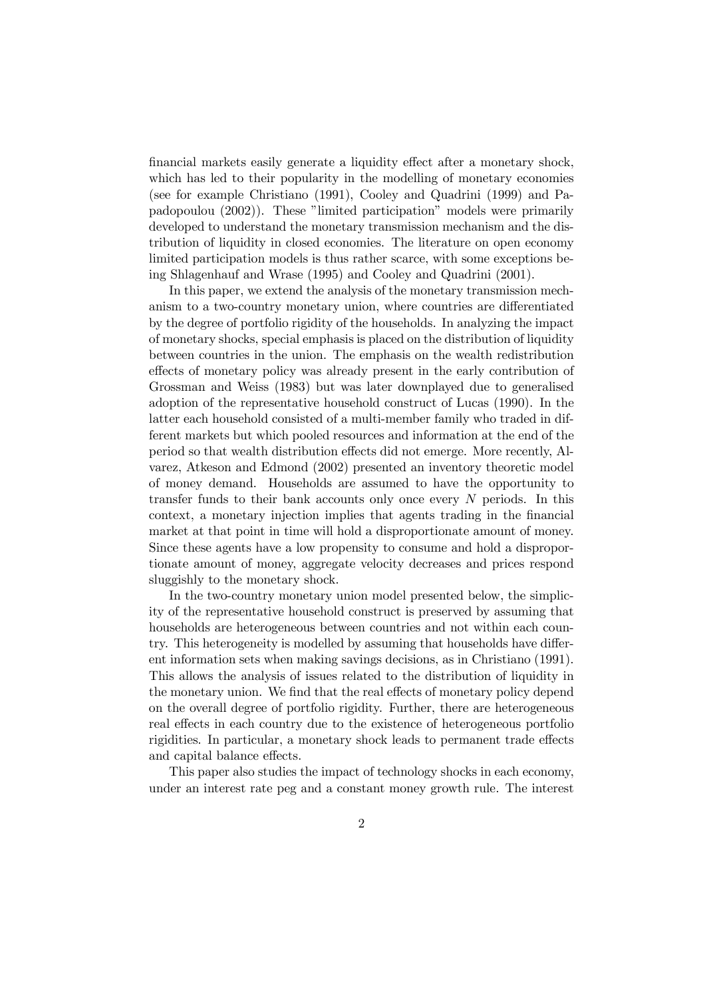financial markets easily generate a liquidity effect after a monetary shock, which has led to their popularity in the modelling of monetary economies (see for example Christiano (1991), Cooley and Quadrini (1999) and Papadopoulou (2002)). These "limited participation" models were primarily developed to understand the monetary transmission mechanism and the distribution of liquidity in closed economies. The literature on open economy limited participation models is thus rather scarce, with some exceptions being Shlagenhauf and Wrase (1995) and Cooley and Quadrini (2001).

In this paper, we extend the analysis of the monetary transmission mechanism to a two-country monetary union, where countries are differentiated by the degree of portfolio rigidity of the households. In analyzing the impact of monetary shocks, special emphasis is placed on the distribution of liquidity between countries in the union. The emphasis on the wealth redistribution effects of monetary policy was already present in the early contribution of Grossman and Weiss (1983) but was later downplayed due to generalised adoption of the representative household construct of Lucas (1990). In the latter each household consisted of a multi-member family who traded in different markets but which pooled resources and information at the end of the period so that wealth distribution effects did not emerge. More recently, Alvarez, Atkeson and Edmond (2002) presented an inventory theoretic model of money demand. Households are assumed to have the opportunity to transfer funds to their bank accounts only once every N periods. In this context, a monetary injection implies that agents trading in the financial market at that point in time will hold a disproportionate amount of money. Since these agents have a low propensity to consume and hold a disproportionate amount of money, aggregate velocity decreases and prices respond sluggishly to the monetary shock.

In the two-country monetary union model presented below, the simplicity of the representative household construct is preserved by assuming that households are heterogeneous between countries and not within each country. This heterogeneity is modelled by assuming that households have different information sets when making savings decisions, as in Christiano (1991). This allows the analysis of issues related to the distribution of liquidity in the monetary union. We find that the real effects of monetary policy depend on the overall degree of portfolio rigidity. Further, there are heterogeneous real effects in each country due to the existence of heterogeneous portfolio rigidities. In particular, a monetary shock leads to permanent trade effects and capital balance effects.

This paper also studies the impact of technology shocks in each economy, under an interest rate peg and a constant money growth rule. The interest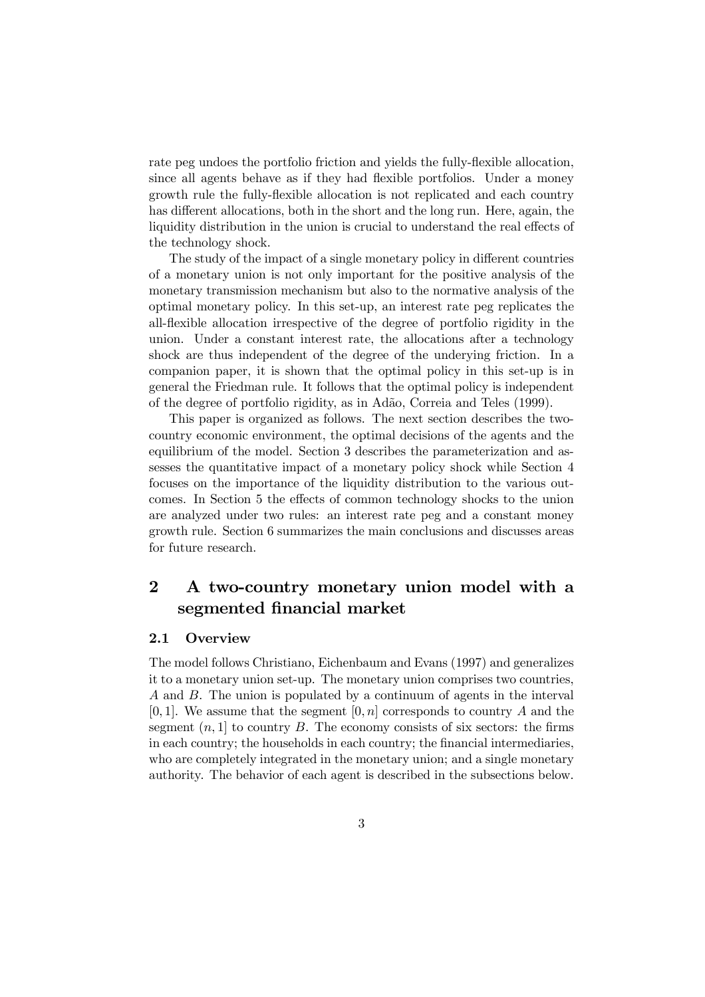rate peg undoes the portfolio friction and yields the fully-flexible allocation, since all agents behave as if they had flexible portfolios. Under a money growth rule the fully-flexible allocation is not replicated and each country has different allocations, both in the short and the long run. Here, again, the liquidity distribution in the union is crucial to understand the real effects of the technology shock.

The study of the impact of a single monetary policy in different countries of a monetary union is not only important for the positive analysis of the monetary transmission mechanism but also to the normative analysis of the optimal monetary policy. In this set-up, an interest rate peg replicates the all-flexible allocation irrespective of the degree of portfolio rigidity in the union. Under a constant interest rate, the allocations after a technology shock are thus independent of the degree of the underying friction. In a companion paper, it is shown that the optimal policy in this set-up is in general the Friedman rule. It follows that the optimal policy is independent of the degree of portfolio rigidity, as in Adão, Correia and Teles (1999).

This paper is organized as follows. The next section describes the twocountry economic environment, the optimal decisions of the agents and the equilibrium of the model. Section 3 describes the parameterization and assesses the quantitative impact of a monetary policy shock while Section 4 focuses on the importance of the liquidity distribution to the various outcomes. In Section 5 the effects of common technology shocks to the union are analyzed under two rules: an interest rate peg and a constant money growth rule. Section 6 summarizes the main conclusions and discusses areas for future research.

## 2 A two-country monetary union model with a segmented financial market

#### 2.1 Overview

The model follows Christiano, Eichenbaum and Evans (1997) and generalizes it to a monetary union set-up. The monetary union comprises two countries, A and B. The union is populated by a continuum of agents in the interval [0, 1]. We assume that the segment  $[0, n]$  corresponds to country A and the segment  $(n, 1]$  to country B. The economy consists of six sectors: the firms in each country; the households in each country; the financial intermediaries, who are completely integrated in the monetary union; and a single monetary authority. The behavior of each agent is described in the subsections below.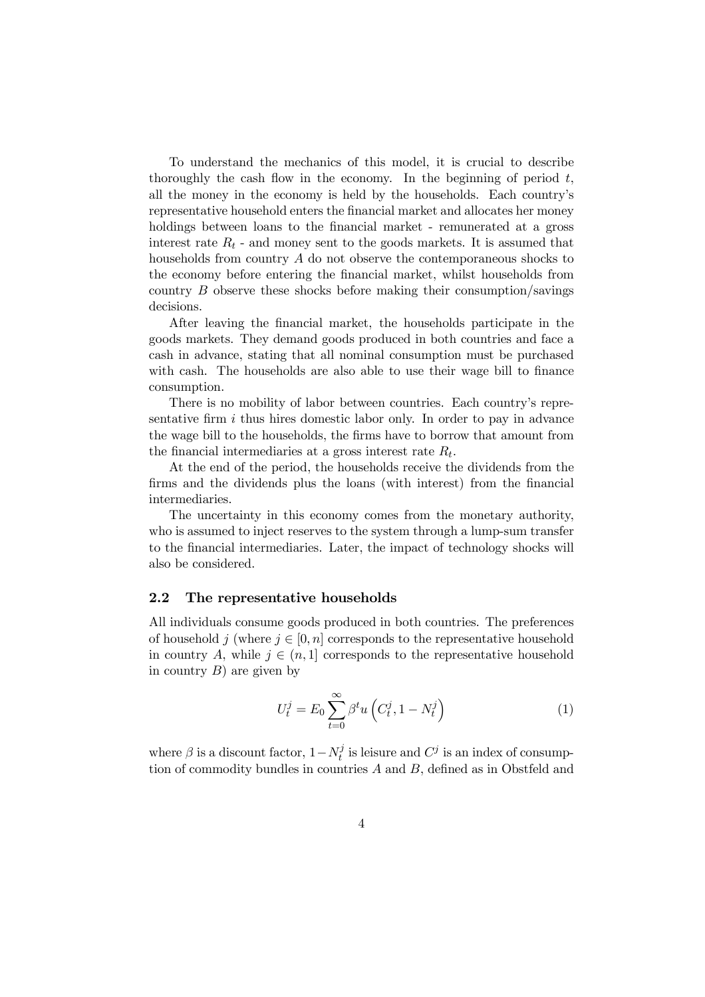To understand the mechanics of this model, it is crucial to describe thoroughly the cash flow in the economy. In the beginning of period  $t$ , all the money in the economy is held by the households. Each country's representative household enters the financial market and allocates her money holdings between loans to the financial market - remunerated at a gross interest rate  $R_t$  - and money sent to the goods markets. It is assumed that households from country A do not observe the contemporaneous shocks to the economy before entering the financial market, whilst households from country B observe these shocks before making their consumption/savings decisions.

After leaving the financial market, the households participate in the goods markets. They demand goods produced in both countries and face a cash in advance, stating that all nominal consumption must be purchased with cash. The households are also able to use their wage bill to finance consumption.

There is no mobility of labor between countries. Each country's representative firm  $i$  thus hires domestic labor only. In order to pay in advance the wage bill to the households, the firms have to borrow that amount from the financial intermediaries at a gross interest rate  $R_t$ .

At the end of the period, the households receive the dividends from the firms and the dividends plus the loans (with interest) from the financial intermediaries.

The uncertainty in this economy comes from the monetary authority, who is assumed to inject reserves to the system through a lump-sum transfer to the financial intermediaries. Later, the impact of technology shocks will also be considered.

#### 2.2 The representative households

All individuals consume goods produced in both countries. The preferences of household j (where  $j \in [0, n]$  corresponds to the representative household in country A, while  $j \in (n, 1]$  corresponds to the representative household in country  $B$ ) are given by

$$
U_t^j = E_0 \sum_{t=0}^{\infty} \beta^t u \left( C_t^j, 1 - N_t^j \right) \tag{1}
$$

where  $\beta$  is a discount factor,  $1 - N_t^j$  is leisure and  $C^j$  is an index of consumption of commodity bundles in countries A and B, defined as in Obstfeld and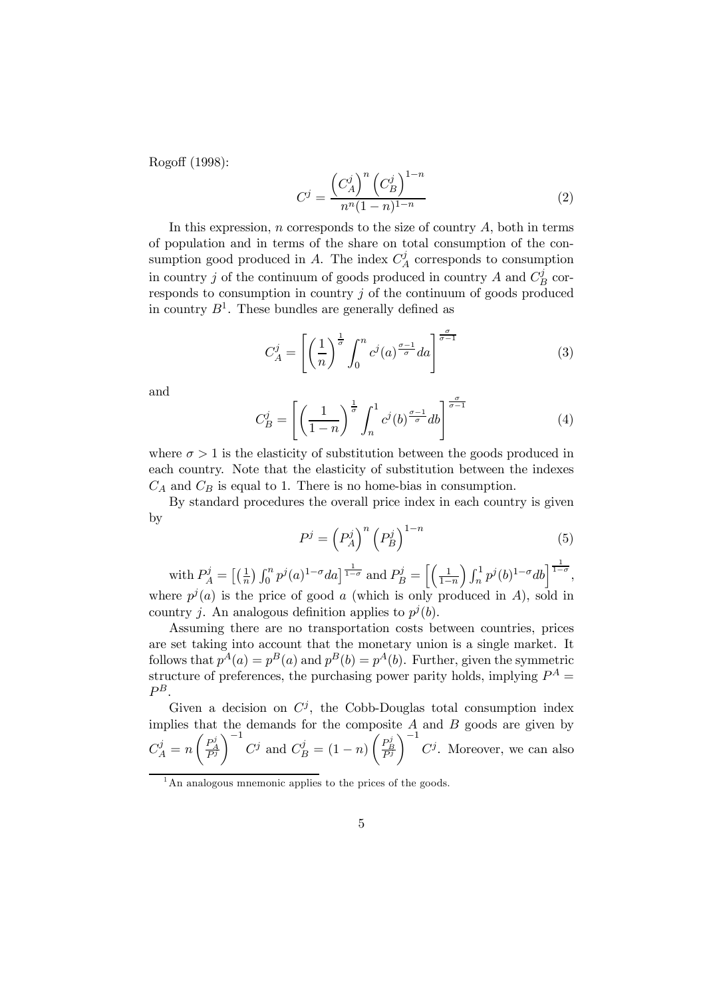Rogoff (1998):

$$
C^{j} = \frac{\left(C_A^j\right)^n \left(C_B^j\right)^{1-n}}{n^n (1-n)^{1-n}}\tag{2}
$$

In this expression, n corresponds to the size of country  $A$ , both in terms of population and in terms of the share on total consumption of the consumption good produced in A. The index  $C_A^j$  corresponds to consumption in country j of the continuum of goods produced in country  $A$  and  $C_B^j$  corresponds to consumption in country  $j$  of the continuum of goods produced in country  $B^1$ . These bundles are generally defined as

$$
C_A^j = \left[ \left( \frac{1}{n} \right)^{\frac{1}{\sigma}} \int_0^n c^j(a)^{\frac{\sigma - 1}{\sigma}} da \right]^{\frac{\sigma}{\sigma - 1}} \tag{3}
$$

and

$$
C_B^j = \left[ \left( \frac{1}{1-n} \right)^{\frac{1}{\sigma}} \int_n^1 c^j(b)^{\frac{\sigma-1}{\sigma}} db \right]^{\frac{\sigma}{\sigma-1}}
$$
(4)

where  $\sigma > 1$  is the elasticity of substitution between the goods produced in each country. Note that the elasticity of substitution between the indexes  $C_A$  and  $C_B$  is equal to 1. There is no home-bias in consumption.

By standard procedures the overall price index in each country is given by

$$
P^j = \left(P_A^j\right)^n \left(P_B^j\right)^{1-n} \tag{5}
$$

with  $P_A^j = \left[\left(\frac{1}{n}\right) \int_0^n p^j(a)^{1-\sigma} da\right]^\frac{1}{1-\sigma}$  and  $P_B^j = \left[\left(\frac{1}{1-\sigma}\right)^\frac{1}{1-\sigma}\right]$  $1-n$  $\int_{n}^{1} p^{j}(b)^{1-\sigma}db \Big]^{1-\sigma},$ where  $p^{j}(a)$  is the price of good a (which is only produced in A), sold in country *j*. An analogous definition applies to  $p^{j}(b)$ .

Assuming there are no transportation costs between countries, prices are set taking into account that the monetary union is a single market. It follows that  $p^{A}(a) = p^{B}(a)$  and  $p^{B}(b) = p^{A}(b)$ . Further, given the symmetric structure of preferences, the purchasing power parity holds, implying  $P^A$  =  $P^B$ .

Given a decision on  $C^j$ , the Cobb-Douglas total consumption index implies that the demands for the composite  $A$  and  $B$  goods are given by  $C_A^j = n$  $\begin{pmatrix} P_{A}^{j} \\ \overline{P^{j}} \end{pmatrix}$  $\bigg)^{-1} C^j$  and  $C_B^j = (1 - n)$  $\begin{pmatrix} P_B^j \\ \overline{P^j} \end{pmatrix}$  $\setminus$ <sup>-1</sup>  $C^j$ . Moreover, we can also

 $<sup>1</sup>$ An analogous mnemonic applies to the prices of the goods.</sup>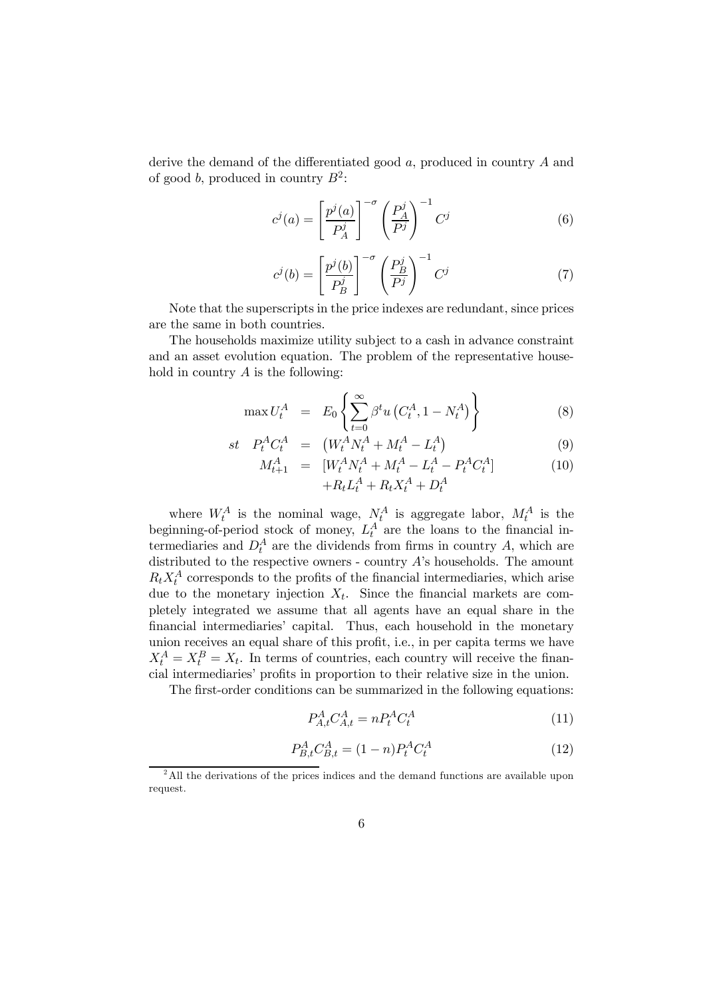derive the demand of the differentiated good a, produced in country A and of good b, produced in country  $B^2$ :

$$
c^{j}(a) = \left[\frac{p^{j}(a)}{P_A^{j}}\right]^{-\sigma} \left(\frac{P_A^{j}}{P_j}\right)^{-1} C^{j}
$$
\n(6)

$$
c^{j}(b) = \left[\frac{p^{j}(b)}{P_{B}^{j}}\right]^{-\sigma} \left(\frac{P_{B}^{j}}{P^{j}}\right)^{-1} C^{j}
$$
(7)

Note that the superscripts in the price indexes are redundant, since prices are the same in both countries.

The households maximize utility subject to a cash in advance constraint and an asset evolution equation. The problem of the representative household in country  $A$  is the following:

$$
\max U_t^A = E_0 \left\{ \sum_{t=0}^{\infty} \beta^t u \left( C_t^A, 1 - N_t^A \right) \right\} \tag{8}
$$

$$
st \tP_t^A C_t^A = (W_t^A N_t^A + M_t^A - L_t^A) \t(9)
$$

$$
M_{t+1}^{A} = [W_t^A N_t^A + M_t^A - L_t^A - P_t^A C_t^A] + R_t L_t^A + R_t X_t^A + D_t^A
$$
 (10)

where  $W_t^A$  is the nominal wage,  $N_t^A$  is aggregate labor,  $M_t^A$  is the beginning-of-period stock of money,  $L_t^A$  are the loans to the financial intermediaries and  $D_t^A$  are the dividends from firms in country A, which are distributed to the respective owners - country A's households. The amount  $R_t X_t^A$  corresponds to the profits of the financial intermediaries, which arise due to the monetary injection  $X_t$ . Since the financial markets are completely integrated we assume that all agents have an equal share in the financial intermediaries' capital. Thus, each household in the monetary union receives an equal share of this profit, i.e., in per capita terms we have  $X_t^A = X_t^B = X_t$ . In terms of countries, each country will receive the financial intermediaries' profits in proportion to their relative size in the union.

The first-order conditions can be summarized in the following equations:

$$
P_{A,t}^A C_{A,t}^A = n P_t^A C_t^A \tag{11}
$$

$$
P_{B,t}^A C_{B,t}^A = (1 - n)P_t^A C_t^A \tag{12}
$$

<sup>&</sup>lt;sup>2</sup>All the derivations of the prices indices and the demand functions are available upon request.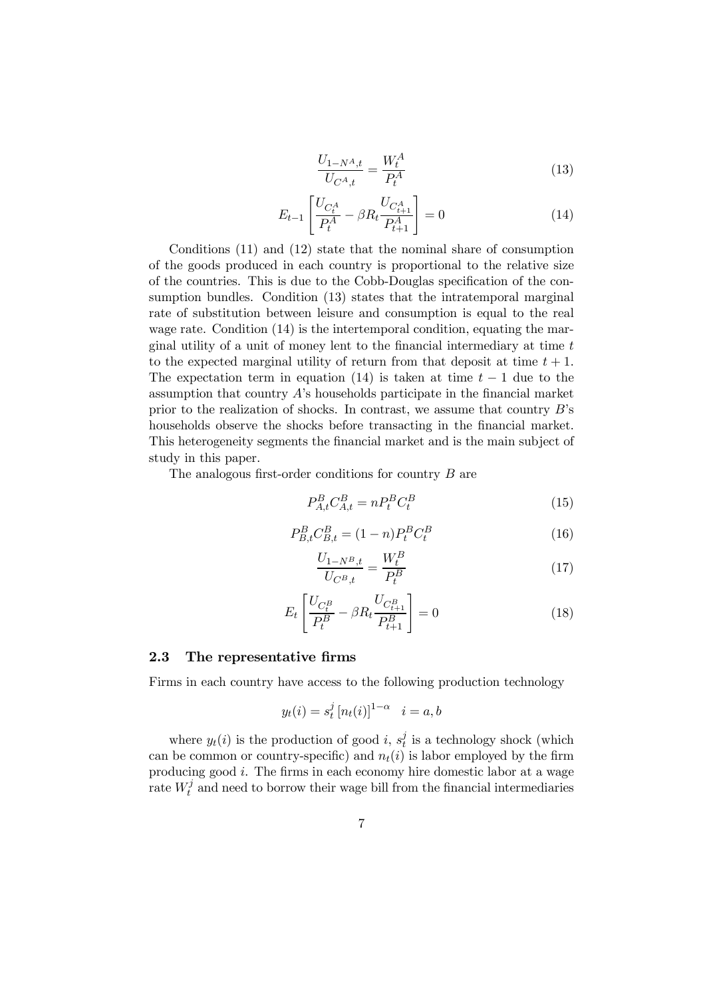$$
\frac{U_{1-N^A,t}}{U_{C^A,t}} = \frac{W_t^A}{P_t^A}
$$
\n(13)

$$
E_{t-1} \left[ \frac{U_{C_t^A}}{P_t^A} - \beta R_t \frac{U_{C_{t+1}^A}}{P_{t+1}^A} \right] = 0 \tag{14}
$$

Conditions (11) and (12) state that the nominal share of consumption of the goods produced in each country is proportional to the relative size of the countries. This is due to the Cobb-Douglas specification of the consumption bundles. Condition (13) states that the intratemporal marginal rate of substitution between leisure and consumption is equal to the real wage rate. Condition  $(14)$  is the intertemporal condition, equating the marginal utility of a unit of money lent to the financial intermediary at time t to the expected marginal utility of return from that deposit at time  $t + 1$ . The expectation term in equation (14) is taken at time  $t - 1$  due to the assumption that country  $A$ 's households participate in the financial market prior to the realization of shocks. In contrast, we assume that country  $B$ 's households observe the shocks before transacting in the financial market. This heterogeneity segments the financial market and is the main subject of study in this paper.

The analogous first-order conditions for country B are

$$
P_{A,t}^B C_{A,t}^B = n P_t^B C_t^B \tag{15}
$$

$$
P_{B,t}^{B} C_{B,t}^{B} = (1 - n) P_{t}^{B} C_{t}^{B}
$$
\n(16)

$$
\frac{U_{1-N^B,t}}{U_{C^B,t}} = \frac{W_t^B}{P_t^B}
$$
\n(17)

$$
E_t \left[ \frac{U_{C_t^B}}{P_t^B} - \beta R_t \frac{U_{C_{t+1}^B}}{P_{t+1}^B} \right] = 0 \tag{18}
$$

#### 2.3 The representative firms

Firms in each country have access to the following production technology

$$
y_t(i) = s_t^j [n_t(i)]^{1-\alpha} \quad i = a, b
$$

where  $y_t(i)$  is the production of good i,  $s_t^j$  is a technology shock (which can be common or country-specific) and  $n_t(i)$  is labor employed by the firm producing good  $i$ . The firms in each economy hire domestic labor at a wage rate  $W_t^j$  and need to borrow their wage bill from the financial intermediaries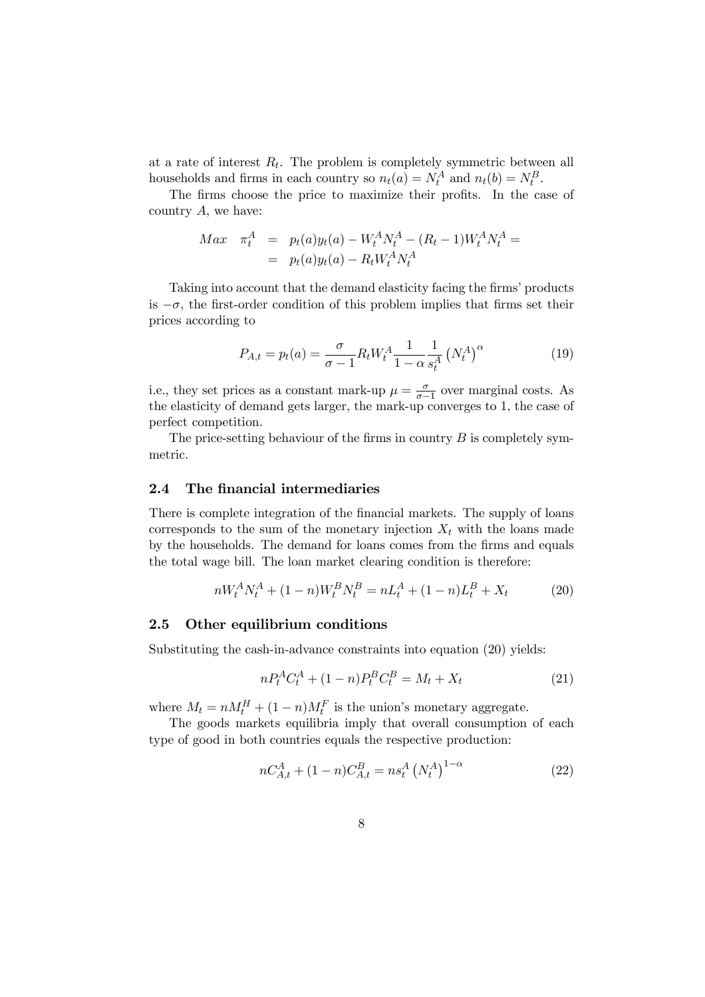at a rate of interest  $R_t$ . The problem is completely symmetric between all households and firms in each country so  $n_t(a) = N_t^A$  and  $n_t(b) = N_t^B$ .

The firms choose the price to maximize their profits. In the case of country  $A$ , we have:

$$
Max \quad \pi_t^A \quad = \quad p_t(a)y_t(a) - W_t^A N_t^A - (R_t - 1)W_t^A N_t^A =
$$

$$
= \quad p_t(a)y_t(a) - R_t W_t^A N_t^A
$$

Taking into account that the demand elasticity facing the firms' products is  $-\sigma$ , the first-order condition of this problem implies that firms set their prices according to

$$
P_{A,t} = p_t(a) = \frac{\sigma}{\sigma - 1} R_t W_t^A \frac{1}{1 - \alpha} \frac{1}{s_t^A} (N_t^A)^{\alpha}
$$
 (19)

i.e., they set prices as a constant mark-up  $\mu = \frac{\sigma}{\sigma - 1}$  over marginal costs. As the elasticity of demand gets larger, the mark-up converges to 1, the case of perfect competition.

The price-setting behaviour of the firms in country  $B$  is completely symmetric.

#### 2.4 The financial intermediaries

There is complete integration of the financial markets. The supply of loans corresponds to the sum of the monetary injection  $X_t$  with the loans made by the households. The demand for loans comes from the firms and equals the total wage bill. The loan market clearing condition is therefore:

$$
nW_t^A N_t^A + (1 - n)W_t^B N_t^B = nL_t^A + (1 - n)L_t^B + X_t \tag{20}
$$

#### 2.5 Other equilibrium conditions

Substituting the cash-in-advance constraints into equation (20) yields:

$$
nP_t^A C_t^A + (1 - n)P_t^B C_t^B = M_t + X_t \tag{21}
$$

where  $M_t = nM_t^H + (1 - n)M_t^F$  is the union's monetary aggregate.

The goods markets equilibria imply that overall consumption of each type of good in both countries equals the respective production:

$$
nC_{A,t}^{A} + (1 - n)C_{A,t}^{B} = n s_t^{A} \left(N_t^{A}\right)^{1 - \alpha} \tag{22}
$$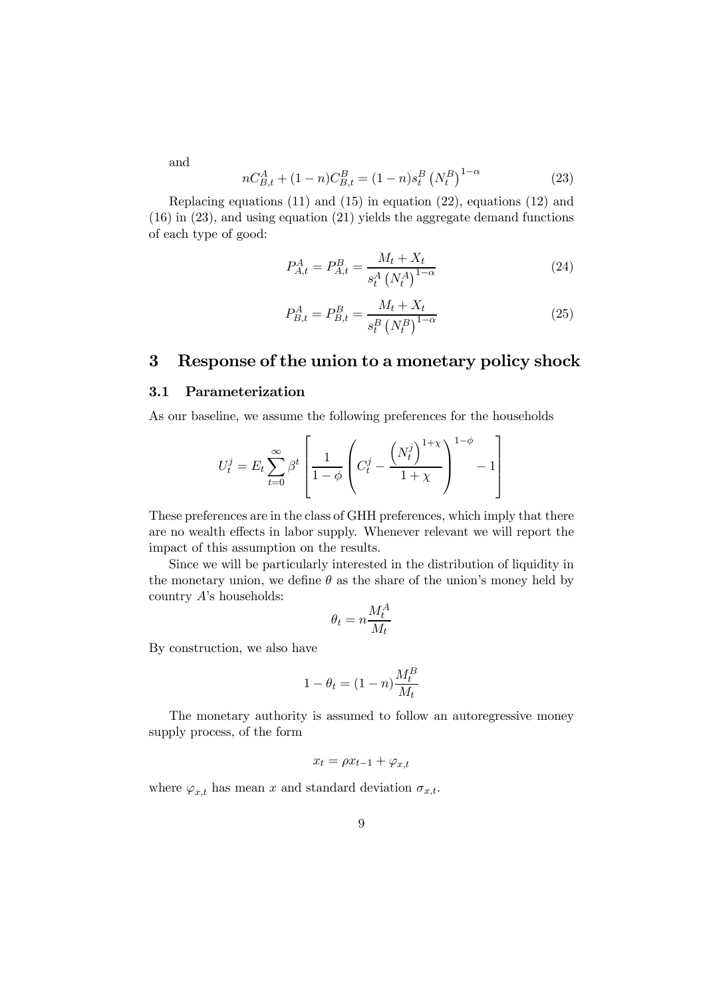and

$$
nC_{B,t}^{A} + (1 - n)C_{B,t}^{B} = (1 - n)s_{t}^{B} (N_{t}^{B})^{1 - \alpha}
$$
\n(23)

Replacing equations  $(11)$  and  $(15)$  in equation  $(22)$ , equations  $(12)$  and (16) in (23), and using equation (21) yields the aggregate demand functions of each type of good:

$$
P_{A,t}^A = P_{A,t}^B = \frac{M_t + X_t}{s_t^A \left(N_t^A\right)^{1-\alpha}}\tag{24}
$$

$$
P_{B,t}^A = P_{B,t}^B = \frac{M_t + X_t}{s_t^B \left(N_t^B\right)^{1-\alpha}}
$$
\n(25)

## 3 Response of the union to a monetary policy shock

### 3.1 Parameterization

As our baseline, we assume the following preferences for the households

$$
U_t^j = E_t \sum_{t=0}^{\infty} \beta^t \left[ \frac{1}{1-\phi} \left( C_t^j - \frac{\left( N_t^j \right)^{1+\chi}}{1+\chi} \right)^{1-\phi} - 1 \right]
$$

These preferences are in the class of GHH preferences, which imply that there are no wealth effects in labor supply. Whenever relevant we will report the impact of this assumption on the results.

Since we will be particularly interested in the distribution of liquidity in the monetary union, we define  $\theta$  as the share of the union's money held by country A's households:

$$
\theta_t = n \frac{M_t^A}{M_t}
$$

By construction, we also have

$$
1-\theta_t=(1-n)\frac{M_t^B}{M_t}
$$

The monetary authority is assumed to follow an autoregressive money supply process, of the form

$$
x_t = \rho x_{t-1} + \varphi_{x,t}
$$

where  $\varphi_{x,t}$  has mean x and standard deviation  $\sigma_{x,t}$ .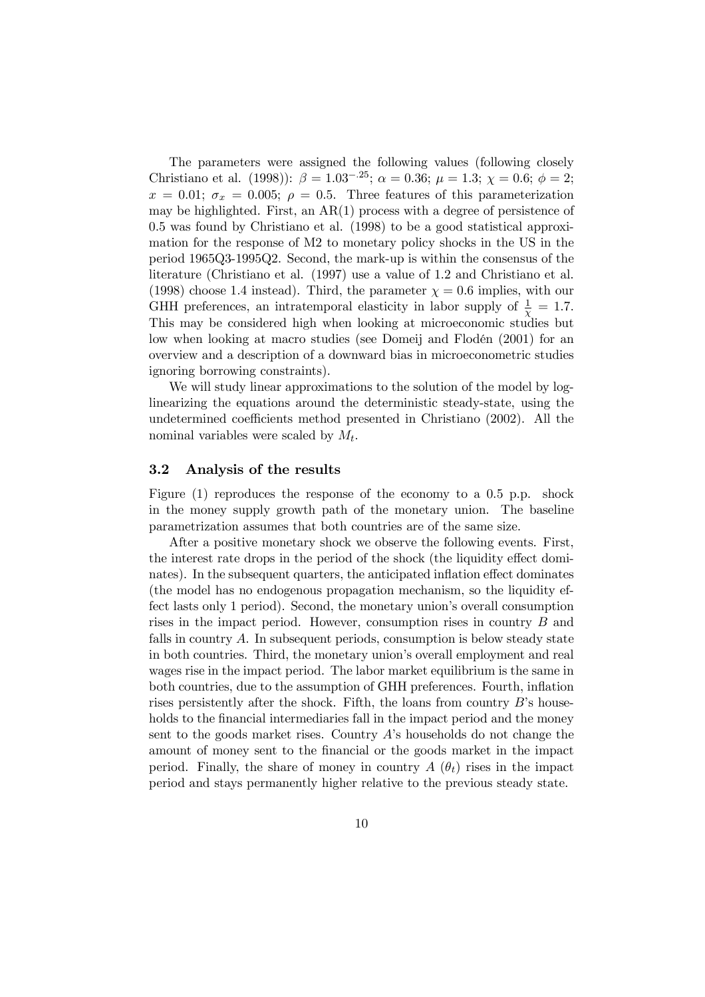The parameters were assigned the following values (following closely Christiano et al. (1998)):  $\beta = 1.03^{-.25}$ ;  $\alpha = 0.36$ ;  $\mu = 1.3$ ;  $\chi = 0.6$ ;  $\phi = 2$ ;  $x = 0.01$ ;  $\sigma_x = 0.005$ ;  $\rho = 0.5$ . Three features of this parameterization may be highlighted. First, an AR(1) process with a degree of persistence of 0.5 was found by Christiano et al. (1998) to be a good statistical approximation for the response of M2 to monetary policy shocks in the US in the period 1965Q3-1995Q2. Second, the mark-up is within the consensus of the literature (Christiano et al. (1997) use a value of 1.2 and Christiano et al. (1998) choose 1.4 instead). Third, the parameter  $\chi = 0.6$  implies, with our GHH preferences, an intratemporal elasticity in labor supply of  $\frac{1}{\chi} = 1.7$ . This may be considered high when looking at microeconomic studies but low when looking at macro studies (see Domeij and Flodén (2001) for an overview and a description of a downward bias in microeconometric studies ignoring borrowing constraints).

We will study linear approximations to the solution of the model by loglinearizing the equations around the deterministic steady-state, using the undetermined coefficients method presented in Christiano (2002). All the nominal variables were scaled by  $M_t$ .

#### 3.2 Analysis of the results

Figure (1) reproduces the response of the economy to a 0.5 p.p. shock in the money supply growth path of the monetary union. The baseline parametrization assumes that both countries are of the same size.

After a positive monetary shock we observe the following events. First, the interest rate drops in the period of the shock (the liquidity effect dominates). In the subsequent quarters, the anticipated inflation effect dominates (the model has no endogenous propagation mechanism, so the liquidity effect lasts only 1 period). Second, the monetary union's overall consumption rises in the impact period. However, consumption rises in country B and falls in country A. In subsequent periods, consumption is below steady state in both countries. Third, the monetary union's overall employment and real wages rise in the impact period. The labor market equilibrium is the same in both countries, due to the assumption of GHH preferences. Fourth, inflation rises persistently after the shock. Fifth, the loans from country  $B$ 's households to the financial intermediaries fall in the impact period and the money sent to the goods market rises. Country  $A$ 's households do not change the amount of money sent to the financial or the goods market in the impact period. Finally, the share of money in country  $A(\theta_t)$  rises in the impact period and stays permanently higher relative to the previous steady state.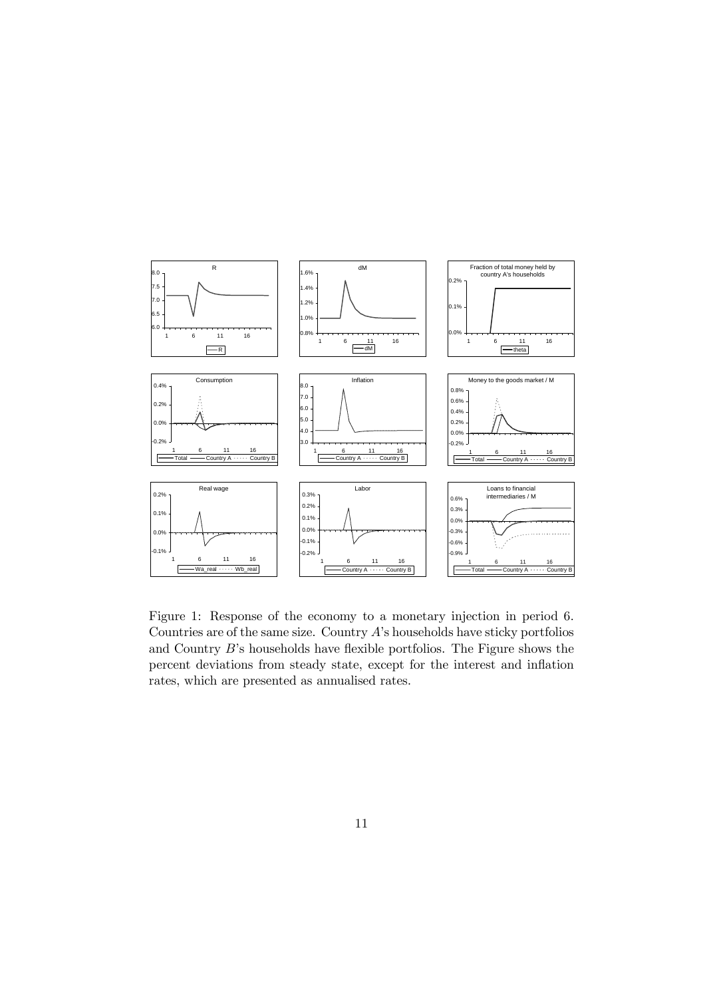

Figure 1: Response of the economy to a monetary injection in period 6. Countries are of the same size. Country A's households have sticky portfolios and Country B's households have flexible portfolios. The Figure shows the percent deviations from steady state, except for the interest and inflation rates, which are presented as annualised rates.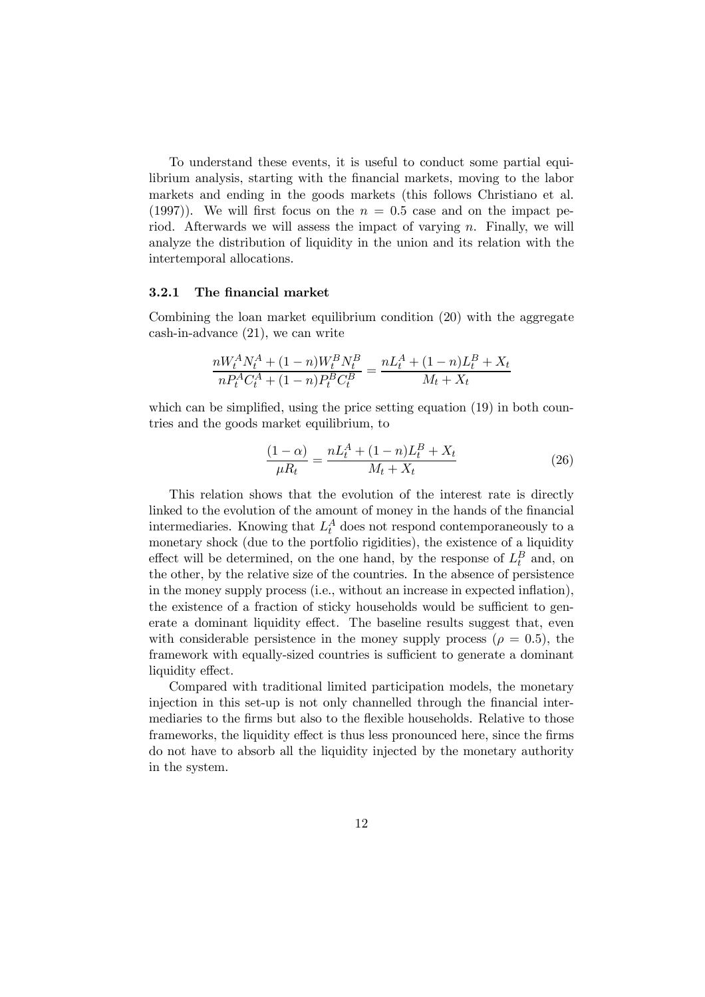To understand these events, it is useful to conduct some partial equilibrium analysis, starting with the financial markets, moving to the labor markets and ending in the goods markets (this follows Christiano et al. (1997)). We will first focus on the  $n = 0.5$  case and on the impact period. Afterwards we will assess the impact of varying  $n$ . Finally, we will analyze the distribution of liquidity in the union and its relation with the intertemporal allocations.

#### 3.2.1 The financial market

Combining the loan market equilibrium condition (20) with the aggregate cash-in-advance (21), we can write

$$
\frac{nW_t^A N_t^A + (1 - n)W_t^B N_t^B}{n P_t^A C_t^A + (1 - n)P_t^B C_t^B} = \frac{nL_t^A + (1 - n)L_t^B + X_t}{M_t + X_t}
$$

which can be simplified, using the price setting equation (19) in both countries and the goods market equilibrium, to

$$
\frac{(1-\alpha)}{\mu R_t} = \frac{nL_t^A + (1-n)L_t^B + X_t}{M_t + X_t}
$$
\n(26)

This relation shows that the evolution of the interest rate is directly linked to the evolution of the amount of money in the hands of the financial intermediaries. Knowing that  $L_t^A$  does not respond contemporaneously to a monetary shock (due to the portfolio rigidities), the existence of a liquidity effect will be determined, on the one hand, by the response of  $L_t^B$  and, on the other, by the relative size of the countries. In the absence of persistence in the money supply process (i.e., without an increase in expected inflation), the existence of a fraction of sticky households would be sufficient to generate a dominant liquidity effect. The baseline results suggest that, even with considerable persistence in the money supply process ( $\rho = 0.5$ ), the framework with equally-sized countries is sufficient to generate a dominant liquidity effect.

Compared with traditional limited participation models, the monetary injection in this set-up is not only channelled through the financial intermediaries to the firms but also to the flexible households. Relative to those frameworks, the liquidity effect is thus less pronounced here, since the firms do not have to absorb all the liquidity injected by the monetary authority in the system.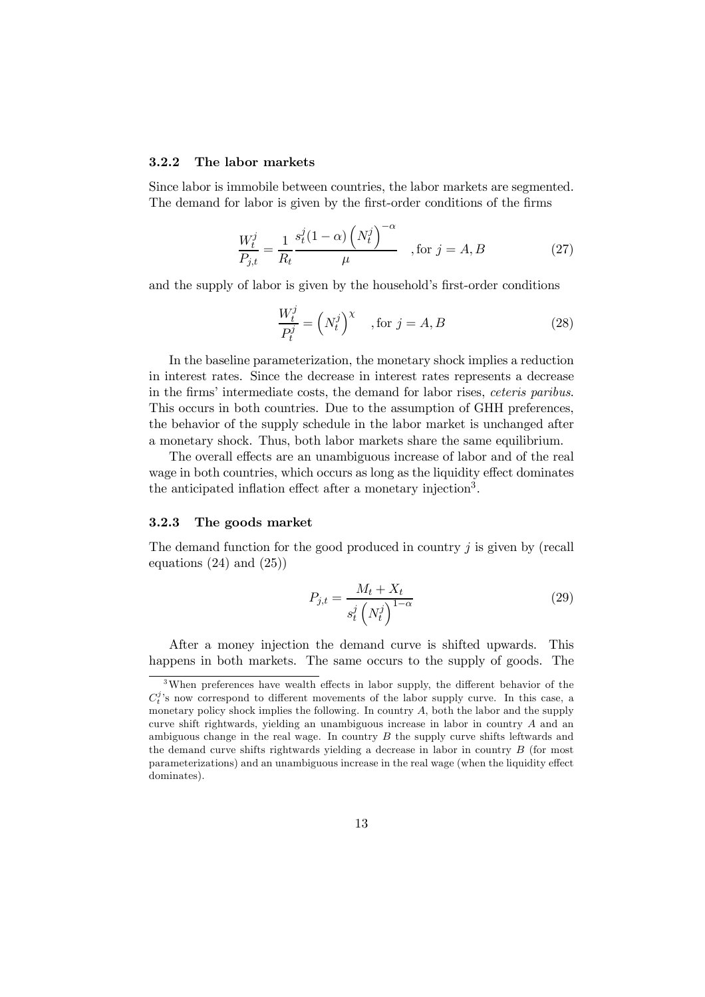#### 3.2.2 The labor markets

Since labor is immobile between countries, the labor markets are segmented. The demand for labor is given by the first-order conditions of the firms

$$
\frac{W_t^j}{P_{j,t}} = \frac{1}{R_t} \frac{s_t^j (1 - \alpha) \left( N_t^j \right)^{-\alpha}}{\mu} \quad , \text{for } j = A, B \tag{27}
$$

and the supply of labor is given by the household's first-order conditions

$$
\frac{W_t^j}{P_t^j} = \left(N_t^j\right)^\chi \quad \text{, for } j = A, B \tag{28}
$$

In the baseline parameterization, the monetary shock implies a reduction in interest rates. Since the decrease in interest rates represents a decrease in the firms' intermediate costs, the demand for labor rises, ceteris paribus. This occurs in both countries. Due to the assumption of GHH preferences, the behavior of the supply schedule in the labor market is unchanged after a monetary shock. Thus, both labor markets share the same equilibrium.

The overall effects are an unambiguous increase of labor and of the real wage in both countries, which occurs as long as the liquidity effect dominates the anticipated inflation effect after a monetary injection3.

#### 3.2.3 The goods market

The demand function for the good produced in country j is given by (recall equations  $(24)$  and  $(25)$ 

$$
P_{j,t} = \frac{M_t + X_t}{s_t^j \left(N_t^j\right)^{1-\alpha}}\tag{29}
$$

After a money injection the demand curve is shifted upwards. This happens in both markets. The same occurs to the supply of goods. The

<sup>&</sup>lt;sup>3</sup>When preferences have wealth effects in labor supply, the different behavior of the  $C_t^j$ 's now correspond to different movements of the labor supply curve. In this case, a monetary policy shock implies the following. In country  $A$ , both the labor and the supply curve shift rightwards, yielding an unambiguous increase in labor in country A and an ambiguous change in the real wage. In country  $B$  the supply curve shifts leftwards and the demand curve shifts rightwards yielding a decrease in labor in country B (for most parameterizations) and an unambiguous increase in the real wage (when the liquidity effect dominates).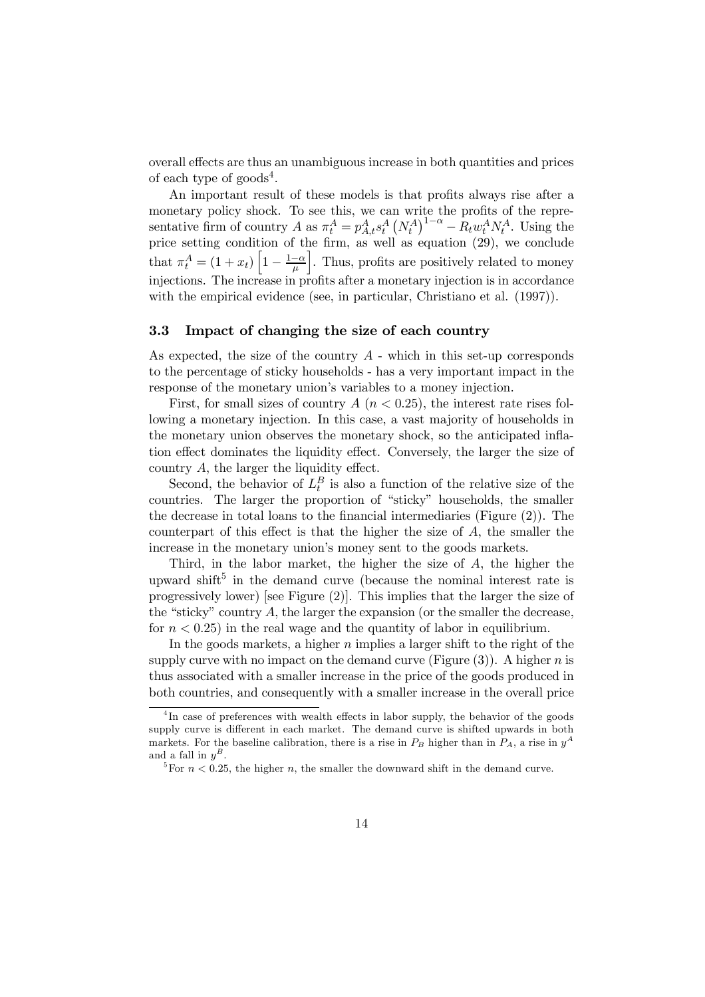overall effects are thus an unambiguous increase in both quantities and prices of each type of  $\text{goods}^4$ .

An important result of these models is that profits always rise after a monetary policy shock. To see this, we can write the profits of the representative firm of country A as  $\pi_t^A = p_{A,t}^A s_t^A (N_t^A)^{1-\alpha} - R_t w_t^A N_t^A$ . Using the price setting condition of the firm, as well as equation (29), we conclude that  $\pi_t^A = (1 + x_t) \left[ 1 - \frac{1 - \alpha}{\mu} \right]$ . Thus, profits are positively related to money injections. The increase in profits after a monetary injection is in accordance with the empirical evidence (see, in particular, Christiano et al.  $(1997)$ ).

## 3.3 Impact of changing the size of each country

As expected, the size of the country  $A$  - which in this set-up corresponds to the percentage of sticky households - has a very important impact in the response of the monetary union's variables to a money injection.

First, for small sizes of country  $A(n < 0.25)$ , the interest rate rises following a monetary injection. In this case, a vast majority of households in the monetary union observes the monetary shock, so the anticipated inflation effect dominates the liquidity effect. Conversely, the larger the size of country A, the larger the liquidity effect.

Second, the behavior of  $L_t^B$  is also a function of the relative size of the countries. The larger the proportion of "sticky" households, the smaller the decrease in total loans to the financial intermediaries (Figure (2)). The counterpart of this effect is that the higher the size of A, the smaller the increase in the monetary union's money sent to the goods markets.

Third, in the labor market, the higher the size of A, the higher the upward shift<sup>5</sup> in the demand curve (because the nominal interest rate is progressively lower) [see Figure (2)]. This implies that the larger the size of the "sticky" country  $A$ , the larger the expansion (or the smaller the decrease, for  $n < 0.25$  in the real wage and the quantity of labor in equilibrium.

In the goods markets, a higher  $n$  implies a larger shift to the right of the supply curve with no impact on the demand curve (Figure  $(3)$ ). A higher n is thus associated with a smaller increase in the price of the goods produced in both countries, and consequently with a smaller increase in the overall price

<sup>&</sup>lt;sup>4</sup>In case of preferences with wealth effects in labor supply, the behavior of the goods supply curve is different in each market. The demand curve is shifted upwards in both markets. For the baseline calibration, there is a rise in  $P_B$  higher than in  $P_A$ , a rise in  $y^A$ and a fall in  $y^B$ .

<sup>&</sup>lt;sup>5</sup>For  $n < 0.25$ , the higher n, the smaller the downward shift in the demand curve.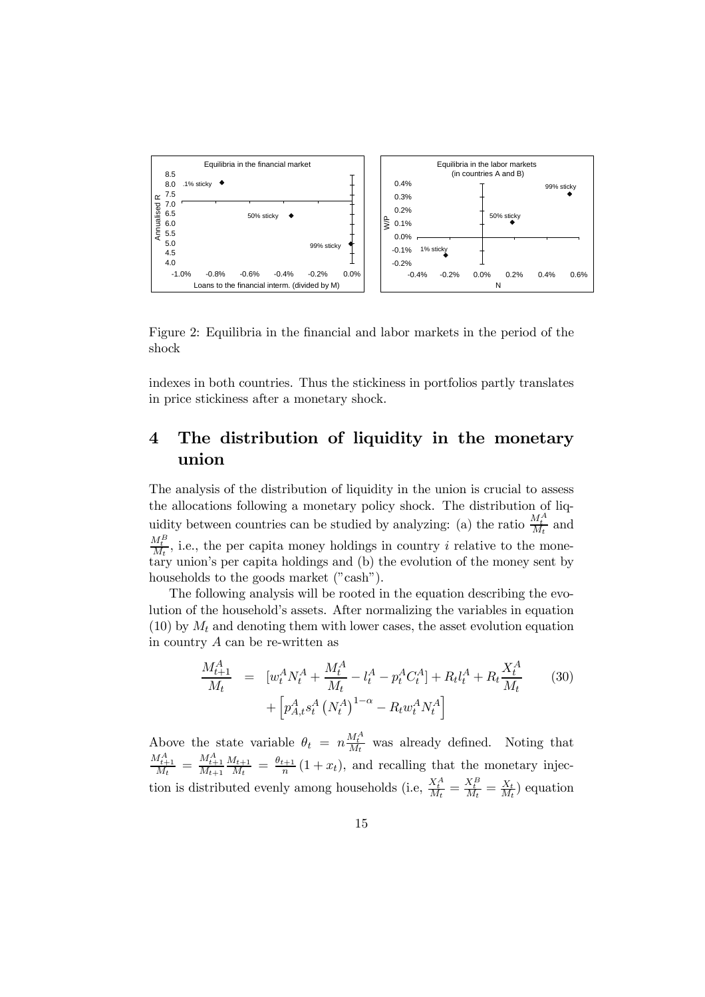

Figure 2: Equilibria in the financial and labor markets in the period of the shock

indexes in both countries. Thus the stickiness in portfolios partly translates in price stickiness after a monetary shock.

## 4 The distribution of liquidity in the monetary union

The analysis of the distribution of liquidity in the union is crucial to assess the allocations following a monetary policy shock. The distribution of liquidity between countries can be studied by analyzing: (a) the ratio  $\frac{M_t^A}{M_t}$  and  $\frac{M_t^B}{M_t}$ , i.e., the per capita money holdings in country *i* relative to the monetary union's per capita holdings and (b) the evolution of the money sent by households to the goods market ("cash").

The following analysis will be rooted in the equation describing the evolution of the household's assets. After normalizing the variables in equation  $(10)$  by  $M_t$  and denoting them with lower cases, the asset evolution equation in country A can be re-written as

$$
\frac{M_{t+1}^A}{M_t} = [w_t^A N_t^A + \frac{M_t^A}{M_t} - l_t^A - p_t^A C_t^A] + R_t l_t^A + R_t \frac{X_t^A}{M_t}
$$
\n
$$
+ [p_{A,t}^A s_t^A (N_t^A)^{1-\alpha} - R_t w_t^A N_t^A]
$$
\n(30)

Above the state variable  $\theta_t = n \frac{M_t^A}{M_t}$  was already defined. Noting that  $\frac{M_{t+1}^A}{M_t} = \frac{M_{t+1}^A}{M_{t+1}}$  $\frac{M_{t+1}}{M_t} = \frac{\theta_{t+1}}{n} (1 + x_t)$ , and recalling that the monetary injection is distributed evenly among households (i.e,  $\frac{X_t^A}{M_t} = \frac{X_t^B}{M_t} = \frac{X_t}{M_t}$ ) equation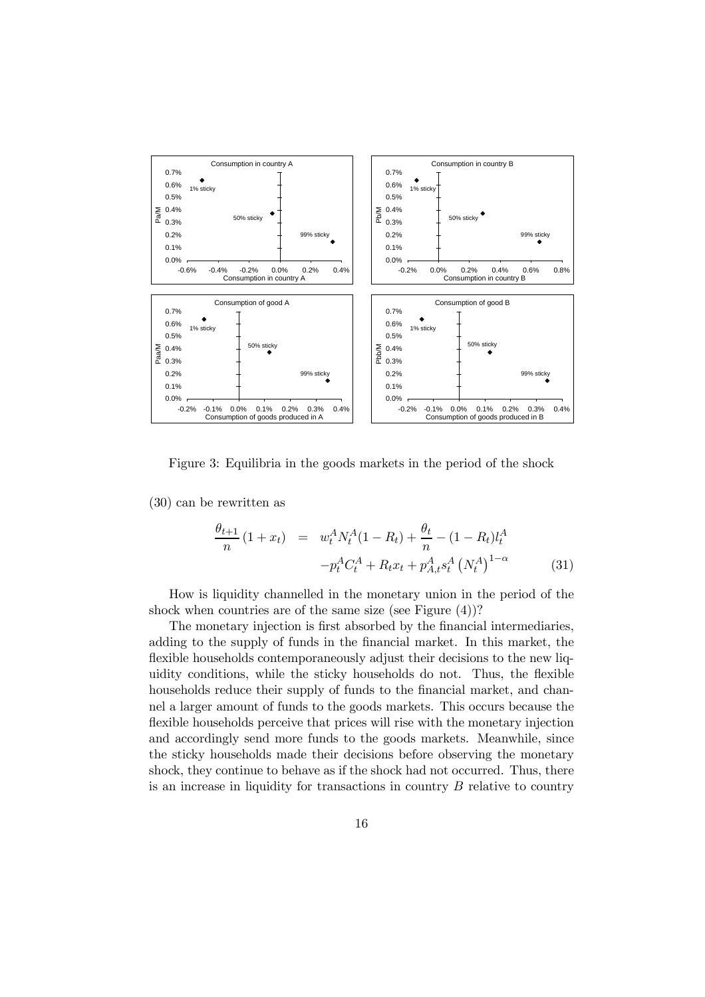

Figure 3: Equilibria in the goods markets in the period of the shock

(30) can be rewritten as

$$
\frac{\theta_{t+1}}{n} (1 + x_t) = w_t^A N_t^A (1 - R_t) + \frac{\theta_t}{n} - (1 - R_t) l_t^A
$$

$$
-p_t^A C_t^A + R_t x_t + p_{A,t}^A s_t^A (N_t^A)^{1-\alpha} \tag{31}
$$

How is liquidity channelled in the monetary union in the period of the shock when countries are of the same size (see Figure (4))?

The monetary injection is first absorbed by the financial intermediaries, adding to the supply of funds in the financial market. In this market, the flexible households contemporaneously adjust their decisions to the new liquidity conditions, while the sticky households do not. Thus, the flexible households reduce their supply of funds to the financial market, and channel a larger amount of funds to the goods markets. This occurs because the flexible households perceive that prices will rise with the monetary injection and accordingly send more funds to the goods markets. Meanwhile, since the sticky households made their decisions before observing the monetary shock, they continue to behave as if the shock had not occurred. Thus, there is an increase in liquidity for transactions in country  $B$  relative to country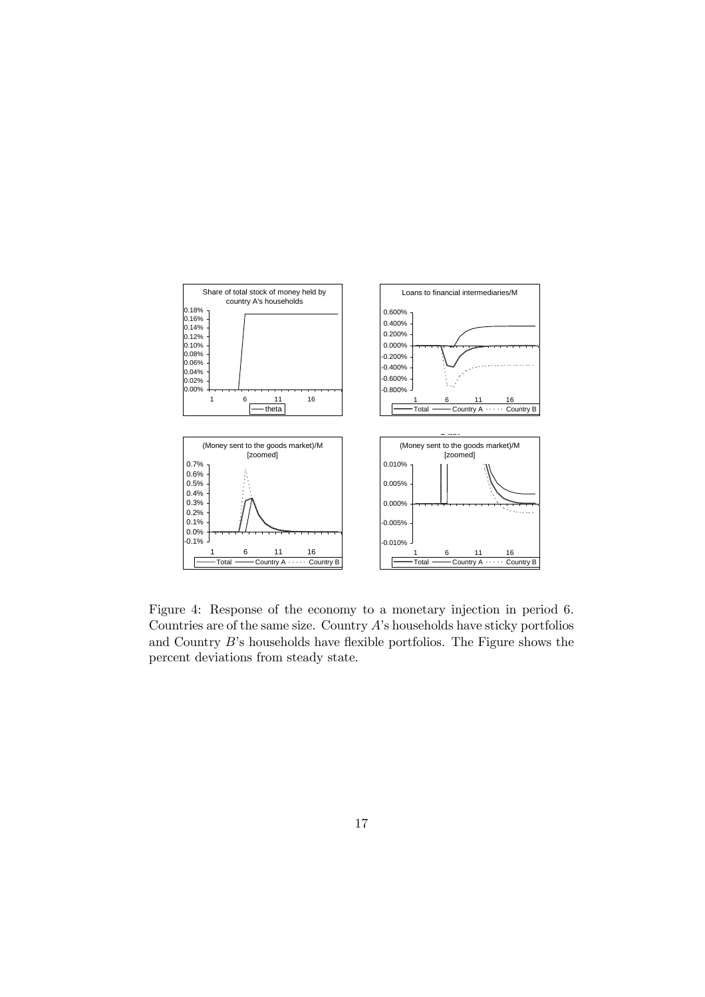

Figure 4: Response of the economy to a monetary injection in period 6. Countries are of the same size. Country  $A$ 's households have sticky portfolios and Country B's households have flexible portfolios. The Figure shows the percent deviations from steady state.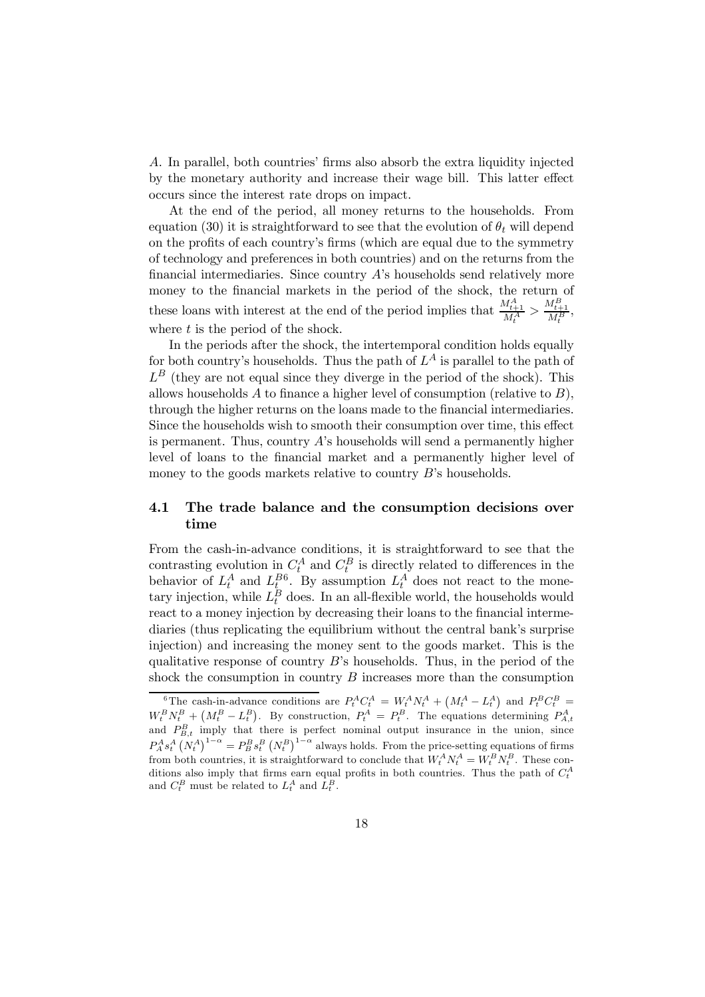A. In parallel, both countries' firms also absorb the extra liquidity injected by the monetary authority and increase their wage bill. This latter effect occurs since the interest rate drops on impact.

At the end of the period, all money returns to the households. From equation (30) it is straightforward to see that the evolution of  $\theta_t$  will depend on the profits of each country's firms (which are equal due to the symmetry of technology and preferences in both countries) and on the returns from the financial intermediaries. Since country A's households send relatively more money to the financial markets in the period of the shock, the return of these loans with interest at the end of the period implies that  $\frac{M_{t+1}^A}{M_t^A} > \frac{M_{t+1}^B}{M_t^B}$ , where  $t$  is the period of the shock.

In the periods after the shock, the intertemporal condition holds equally for both country's households. Thus the path of  $L^A$  is parallel to the path of  $L^B$  (they are not equal since they diverge in the period of the shock). This allows households  $A$  to finance a higher level of consumption (relative to  $B$ ), through the higher returns on the loans made to the financial intermediaries. Since the households wish to smooth their consumption over time, this effect is permanent. Thus, country  $A$ 's households will send a permanently higher level of loans to the financial market and a permanently higher level of money to the goods markets relative to country B's households.

## 4.1 The trade balance and the consumption decisions over time

From the cash-in-advance conditions, it is straightforward to see that the contrasting evolution in  $C_t^A$  and  $C_t^B$  is directly related to differences in the behavior of  $L_t^A$  and  $L_t^{B6}$ . By assumption  $L_t^A$  does not react to the monetary injection, while  $L_t^B$  does. In an all-flexible world, the households would react to a money injection by decreasing their loans to the financial intermediaries (thus replicating the equilibrium without the central bank's surprise injection) and increasing the money sent to the goods market. This is the qualitative response of country  $B$ 's households. Thus, in the period of the shock the consumption in country  $B$  increases more than the consumption

<sup>&</sup>lt;sup>6</sup>The cash-in-advance conditions are  $P_t^A C_t^A = W_t^A N_t^A + (M_t^A - L_t^A)$  and  $P_t^B C_t^B =$  $W_t^B N_t^B + (M_t^B - L_t^B)$ . By construction,  $P_t^A = P_t^B$ . The equations determining  $P_{A,t}^A$  and  $P_{B,t}^B$  imply that there is perfect nominal output insurance in the union, since  $P_A^A s_t^A (N_t^A)^{1-\alpha} = P_B^B s_t^B (N_t^B)^{1-\alpha}$  always holds. From the price-setting equations of firms from both countries, it is straightforward to conclude that  $W_t^A N_t^A = W_t^B N_t^B$ . These conditions also imply that firms earn equal profits in both countries. Thus the path of  $C_t^A$ and  $C_t^B$  must be related to  $L_t^A$  and  $L_t^B$ .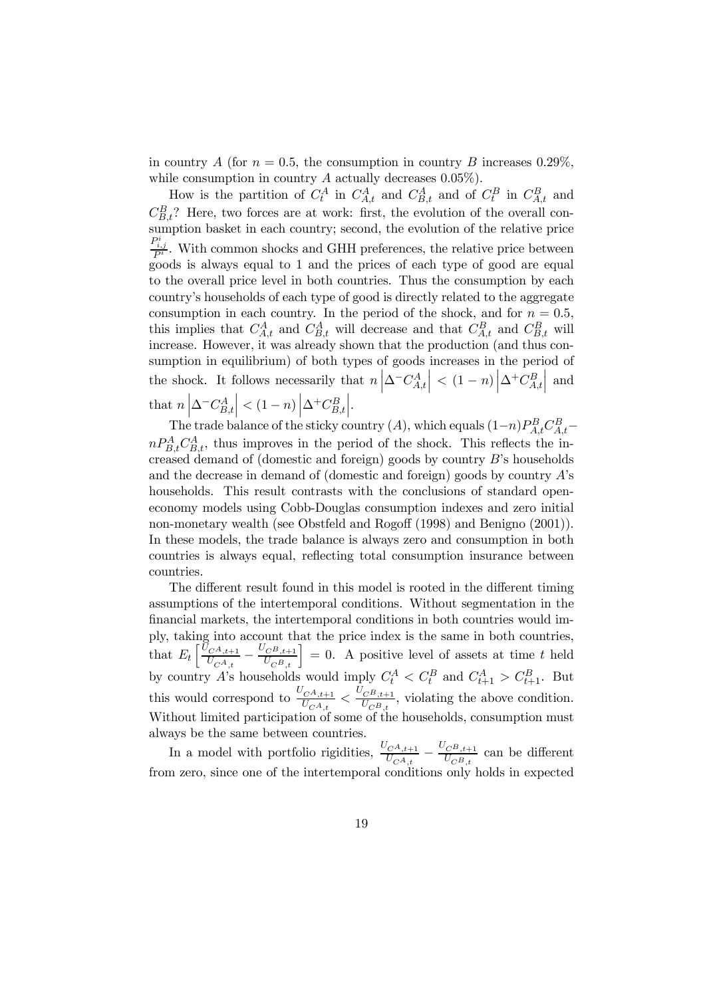in country A (for  $n = 0.5$ , the consumption in country B increases 0.29%). while consumption in country A actually decreases  $0.05\%$ ).

How is the partition of  $C_t^A$  in  $C_{A,t}^A$  and  $C_{B,t}^A$  and of  $C_t^B$  in  $C_{A,t}^B$  and  $C_{B,t}^B$ ? Here, two forces are at work: first, the evolution of the overall con $s_{1}, s_{2}, \ldots$  basket in each country; second, the evolution of the relative price  $\frac{P_{i,j}^i}{P^i}$ . With common shocks and GHH preferences, the relative price between goods is always equal to 1 and the prices of each type of good are equal to the overall price level in both countries. Thus the consumption by each country's households of each type of good is directly related to the aggregate consumption in each country. In the period of the shock, and for  $n = 0.5$ , this implies that  $C_{A,t}^A$  and  $C_{B,t}^A$  will decrease and that  $C_{A,t}^B$  and  $C_{B,t}^B$  will increase. However, it was already shown that the production (and thus consumption in equilibrium) of both types of goods increases in the period of the shock. It follows necessarily that  $n \left| \Delta^{-} C_{A,t}^{A} \right|$  $\Big| \ \texttt{< (1-n) \, \Big| \Delta^+ C_{A,t}^B }$  $\Big|$  and that  $n \left| \Delta \right| C_{B,t}^A$  $\Big| < (1-n) \Big| \Delta^+ C_{B,t}^B$  $\Bigg|.$ 

The trade balance of the sticky country  $(A)$ , which equals  $(1-n)P_{A,t}^B C_{A,t}^B$  $nP_{B,t}^A C_{B,t}^A$ , thus improves in the period of the shock. This reflects the increased demand of (domestic and foreign) goods by country B's households and the decrease in demand of (domestic and foreign) goods by country A's households. This result contrasts with the conclusions of standard openeconomy models using Cobb-Douglas consumption indexes and zero initial non-monetary wealth (see Obstfeld and Rogoff (1998) and Benigno (2001)). In these models, the trade balance is always zero and consumption in both countries is always equal, reflecting total consumption insurance between countries.

The different result found in this model is rooted in the different timing assumptions of the intertemporal conditions. Without segmentation in the financial markets, the intertemporal conditions in both countries would imply, taking into account that the price index is the same in both countries, that  $E_t \left[ \frac{\tilde{U}_{C^A,t+1}}{U_{C^A,t}} \right]$  $\left[\frac{U_{C^A,t+1}}{U_{C^A,t}} - \frac{U_{C^B,t+1}}{U_{C^B,t}}\right] = 0.$  A positive level of assets at time t held by country A's households would imply  $C_t^A < C_t^B$  and  $C_{t+1}^A > C_{t+1}^B$ . But this would correspond to  $\frac{U_{C^A,t+1}}{U_{C^A,t}} < \frac{U_{C^B,t+1}}{U_{C^B,t}}$  $\frac{C^{B},t+1}{U_{C^{B},t}}$ , violating the above condition. Without limited participation of some of the households, consumption must always be the same between countries.

In a model with portfolio rigidities,  $\frac{U_{C^A,t+1}}{U_{C^A,t}} - \frac{U_{C^B,t+1}}{U_{C^B,t}}$  can be different from zero, since one of the intertemporal conditions only holds in expected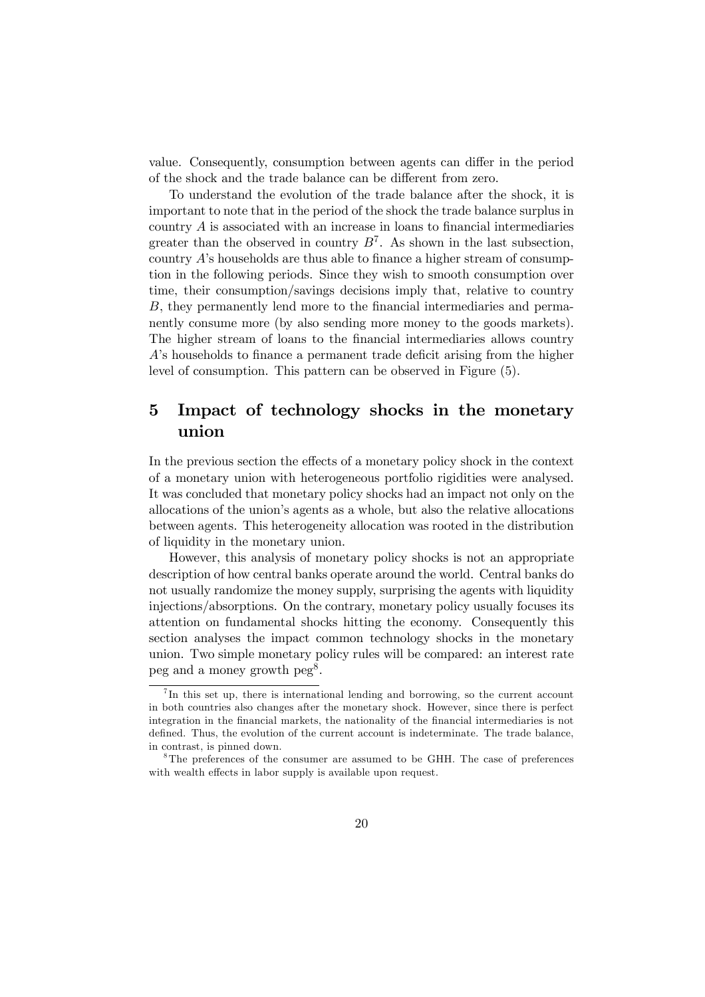value. Consequently, consumption between agents can differ in the period of the shock and the trade balance can be different from zero.

To understand the evolution of the trade balance after the shock, it is important to note that in the period of the shock the trade balance surplus in country A is associated with an increase in loans to financial intermediaries greater than the observed in country  $B^7$ . As shown in the last subsection, country  $A$ 's households are thus able to finance a higher stream of consumption in the following periods. Since they wish to smooth consumption over time, their consumption/savings decisions imply that, relative to country B, they permanently lend more to the financial intermediaries and permanently consume more (by also sending more money to the goods markets). The higher stream of loans to the financial intermediaries allows country A's households to finance a permanent trade deficit arising from the higher level of consumption. This pattern can be observed in Figure (5).

## 5 Impact of technology shocks in the monetary union

In the previous section the effects of a monetary policy shock in the context of a monetary union with heterogeneous portfolio rigidities were analysed. It was concluded that monetary policy shocks had an impact not only on the allocations of the union's agents as a whole, but also the relative allocations between agents. This heterogeneity allocation was rooted in the distribution of liquidity in the monetary union.

However, this analysis of monetary policy shocks is not an appropriate description of how central banks operate around the world. Central banks do not usually randomize the money supply, surprising the agents with liquidity injections/absorptions. On the contrary, monetary policy usually focuses its attention on fundamental shocks hitting the economy. Consequently this section analyses the impact common technology shocks in the monetary union. Two simple monetary policy rules will be compared: an interest rate peg and a money growth  $peg^8$ .

 $^{7}$ In this set up, there is international lending and borrowing, so the current account in both countries also changes after the monetary shock. However, since there is perfect integration in the financial markets, the nationality of the financial intermediaries is not defined. Thus, the evolution of the current account is indeterminate. The trade balance, in contrast, is pinned down.

<sup>&</sup>lt;sup>8</sup>The preferences of the consumer are assumed to be GHH. The case of preferences with wealth effects in labor supply is available upon request.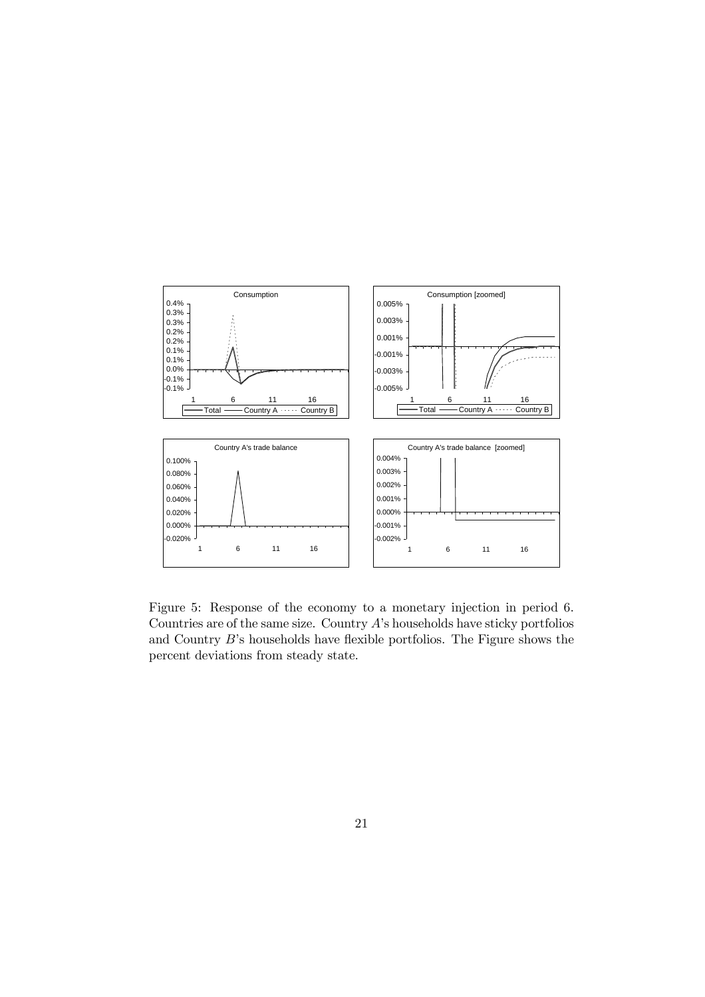

Figure 5: Response of the economy to a monetary injection in period 6. Countries are of the same size. Country A's households have sticky portfolios and Country B's households have flexible portfolios. The Figure shows the percent deviations from steady state.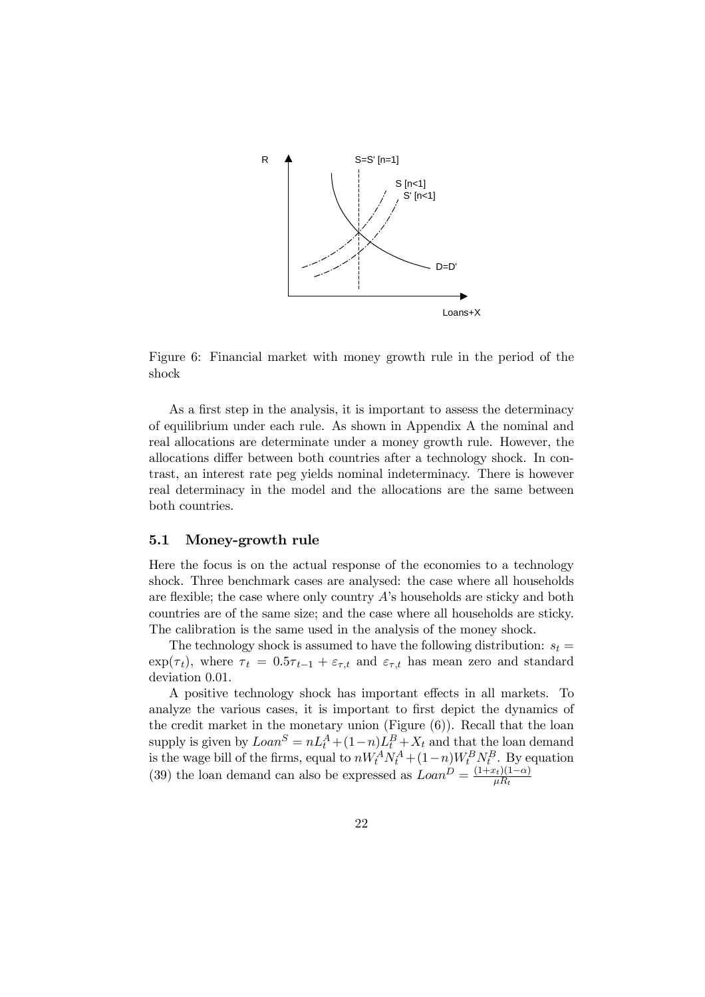

Figure 6: Financial market with money growth rule in the period of the shock

As a first step in the analysis, it is important to assess the determinacy of equilibrium under each rule. As shown in Appendix A the nominal and real allocations are determinate under a money growth rule. However, the allocations differ between both countries after a technology shock. In contrast, an interest rate peg yields nominal indeterminacy. There is however real determinacy in the model and the allocations are the same between both countries.

#### 5.1 Money-growth rule

Here the focus is on the actual response of the economies to a technology shock. Three benchmark cases are analysed: the case where all households are flexible; the case where only country  $\hat{A}$ 's households are sticky and both countries are of the same size; and the case where all households are sticky. The calibration is the same used in the analysis of the money shock.

The technology shock is assumed to have the following distribution:  $s_t =$  $\exp(\tau_t)$ , where  $\tau_t = 0.5\tau_{t-1} + \varepsilon_{\tau,t}$  and  $\varepsilon_{\tau,t}$  has mean zero and standard deviation 0.01.

A positive technology shock has important effects in all markets. To analyze the various cases, it is important to first depict the dynamics of the credit market in the monetary union (Figure (6)). Recall that the loan supply is given by  $Loan^S = nL_t^A + (1-n)L_t^B + X_t$  and that the loan demand is the wage bill of the firms, equal to  $nW_t^A N_t^A + (1-n)W_t^B N_t^B$ . By equation (39) the loan demand can also be expressed as  $Loan^D = \frac{(1+x_t)(1-\alpha)}{\mu R_t}$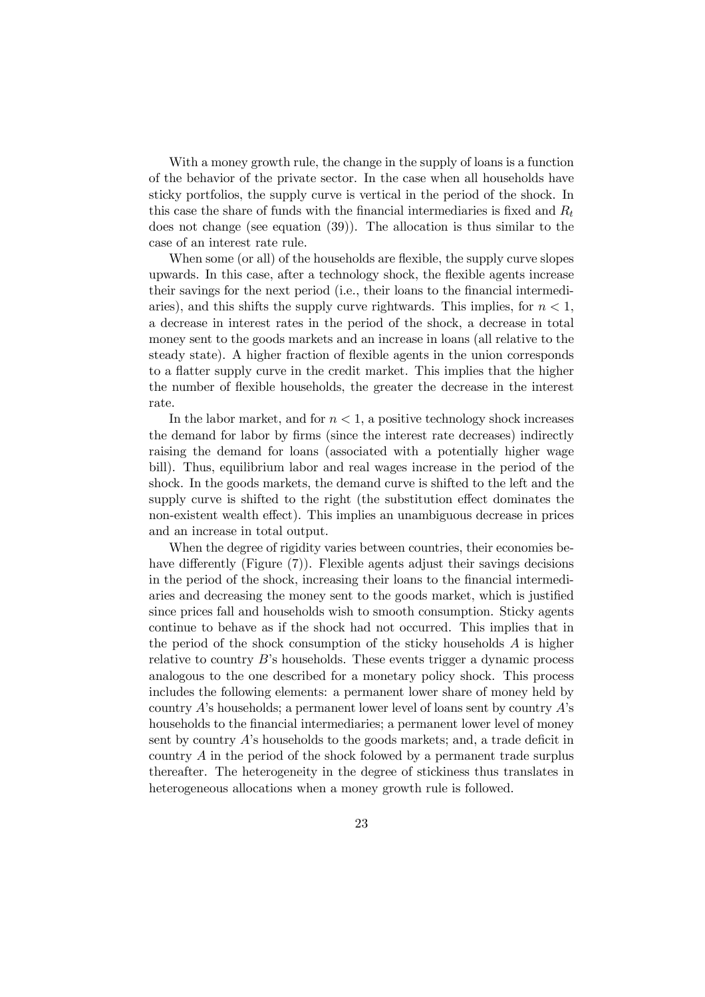With a money growth rule, the change in the supply of loans is a function of the behavior of the private sector. In the case when all households have sticky portfolios, the supply curve is vertical in the period of the shock. In this case the share of funds with the financial intermediaries is fixed and  $R_t$ does not change (see equation (39)). The allocation is thus similar to the case of an interest rate rule.

When some (or all) of the households are flexible, the supply curve slopes upwards. In this case, after a technology shock, the flexible agents increase their savings for the next period (i.e., their loans to the financial intermediaries), and this shifts the supply curve rightwards. This implies, for  $n < 1$ , a decrease in interest rates in the period of the shock, a decrease in total money sent to the goods markets and an increase in loans (all relative to the steady state). A higher fraction of flexible agents in the union corresponds to a flatter supply curve in the credit market. This implies that the higher the number of flexible households, the greater the decrease in the interest rate.

In the labor market, and for  $n < 1$ , a positive technology shock increases the demand for labor by firms (since the interest rate decreases) indirectly raising the demand for loans (associated with a potentially higher wage bill). Thus, equilibrium labor and real wages increase in the period of the shock. In the goods markets, the demand curve is shifted to the left and the supply curve is shifted to the right (the substitution effect dominates the non-existent wealth effect). This implies an unambiguous decrease in prices and an increase in total output.

When the degree of rigidity varies between countries, their economies behave differently (Figure (7)). Flexible agents adjust their savings decisions in the period of the shock, increasing their loans to the financial intermediaries and decreasing the money sent to the goods market, which is justified since prices fall and households wish to smooth consumption. Sticky agents continue to behave as if the shock had not occurred. This implies that in the period of the shock consumption of the sticky households  $A$  is higher relative to country B's households. These events trigger a dynamic process analogous to the one described for a monetary policy shock. This process includes the following elements: a permanent lower share of money held by country  $A$ 's households; a permanent lower level of loans sent by country  $A$ 's households to the financial intermediaries; a permanent lower level of money sent by country  $A$ 's households to the goods markets; and, a trade deficit in country A in the period of the shock folowed by a permanent trade surplus thereafter. The heterogeneity in the degree of stickiness thus translates in heterogeneous allocations when a money growth rule is followed.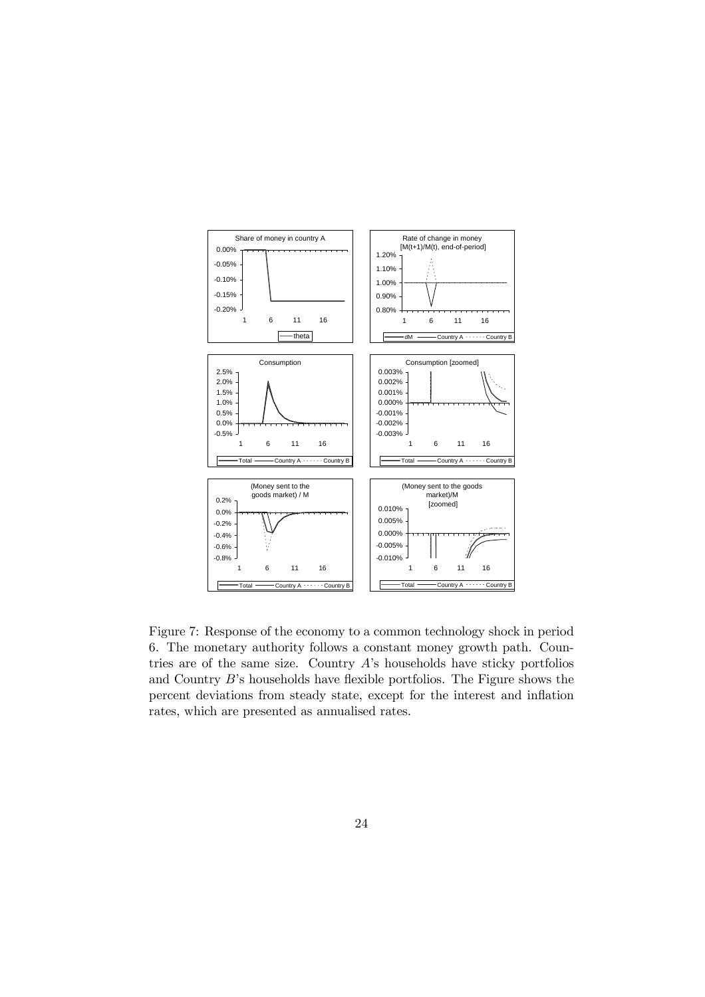

Figure 7: Response of the economy to a common technology shock in period 6. The monetary authority follows a constant money growth path. Countries are of the same size. Country A's households have sticky portfolios and Country B's households have flexible portfolios. The Figure shows the percent deviations from steady state, except for the interest and inflation rates, which are presented as annualised rates.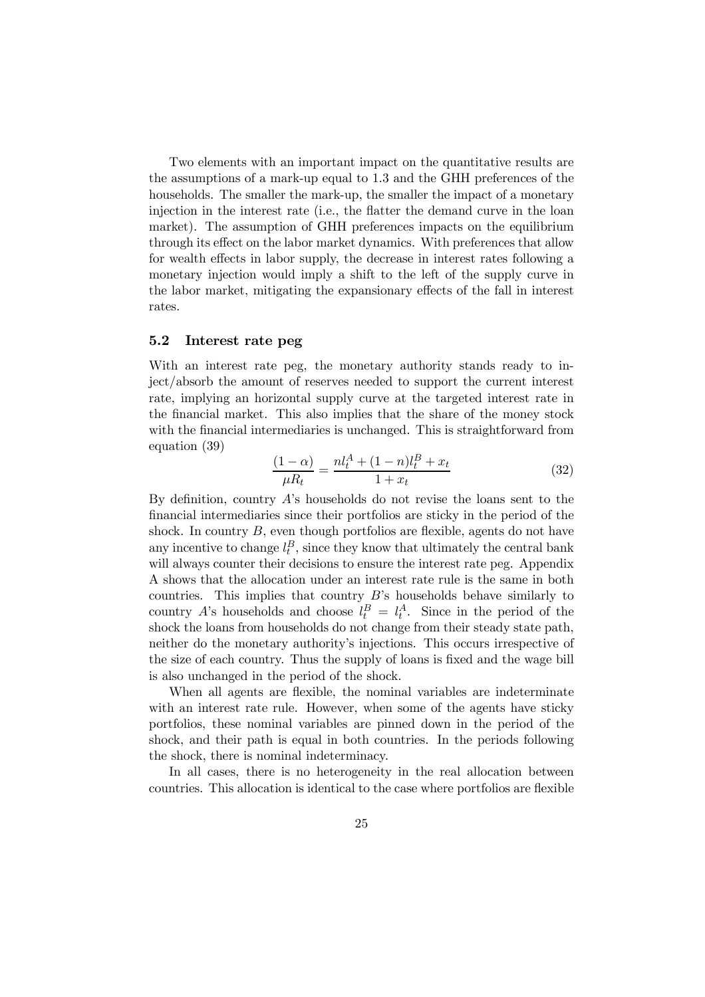Two elements with an important impact on the quantitative results are the assumptions of a mark-up equal to 1.3 and the GHH preferences of the households. The smaller the mark-up, the smaller the impact of a monetary injection in the interest rate (i.e., the flatter the demand curve in the loan market). The assumption of GHH preferences impacts on the equilibrium through its effect on the labor market dynamics. With preferences that allow for wealth effects in labor supply, the decrease in interest rates following a monetary injection would imply a shift to the left of the supply curve in the labor market, mitigating the expansionary effects of the fall in interest rates.

#### 5.2 Interest rate peg

With an interest rate peg, the monetary authority stands ready to inject/absorb the amount of reserves needed to support the current interest rate, implying an horizontal supply curve at the targeted interest rate in the financial market. This also implies that the share of the money stock with the financial intermediaries is unchanged. This is straightforward from equation (39)

$$
\frac{(1-\alpha)}{\mu R_t} = \frac{nl_t^A + (1-n)l_t^B + x_t}{1 + x_t} \tag{32}
$$

By definition, country A's households do not revise the loans sent to the financial intermediaries since their portfolios are sticky in the period of the shock. In country  $B$ , even though portfolios are flexible, agents do not have any incentive to change  $l_t^B$ , since they know that ultimately the central bank will always counter their decisions to ensure the interest rate peg. Appendix A shows that the allocation under an interest rate rule is the same in both countries. This implies that country  $B$ 's households behave similarly to country A's households and choose  $l_t^B = l_t^A$ . Since in the period of the shock the loans from households do not change from their steady state path, neither do the monetary authority's injections. This occurs irrespective of the size of each country. Thus the supply of loans is fixed and the wage bill is also unchanged in the period of the shock.

When all agents are flexible, the nominal variables are indeterminate with an interest rate rule. However, when some of the agents have sticky portfolios, these nominal variables are pinned down in the period of the shock, and their path is equal in both countries. In the periods following the shock, there is nominal indeterminacy.

In all cases, there is no heterogeneity in the real allocation between countries. This allocation is identical to the case where portfolios are flexible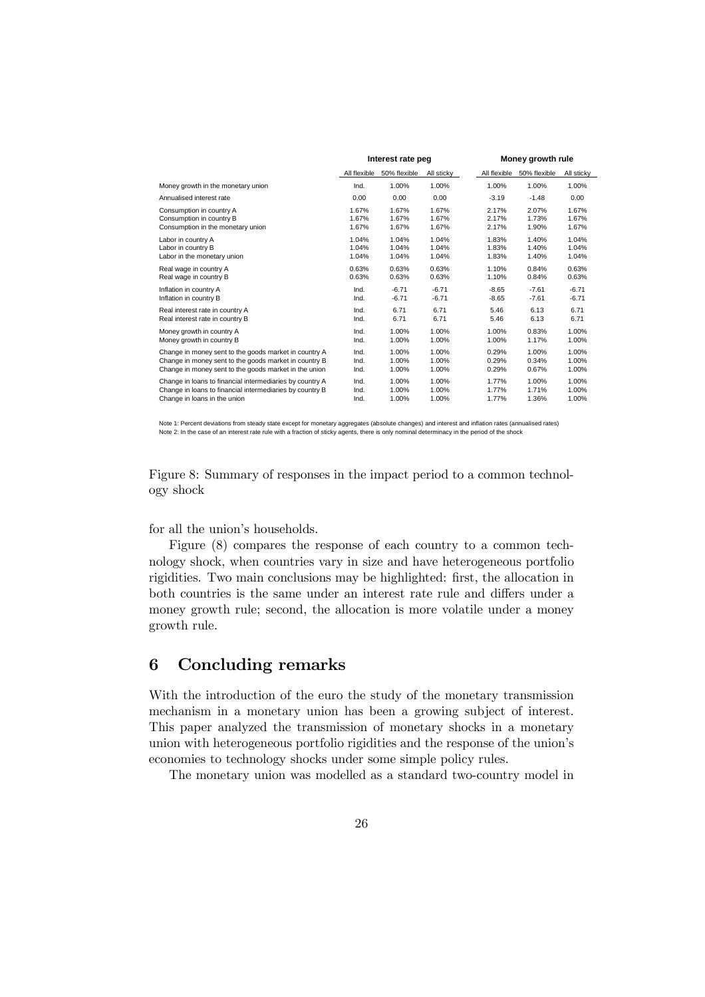|                                                          | Interest rate peg |              |            | Money growth rule |              |            |
|----------------------------------------------------------|-------------------|--------------|------------|-------------------|--------------|------------|
|                                                          | All flexible      | 50% flexible | All sticky | All flexible      | 50% flexible | All sticky |
| Money growth in the monetary union                       | Ind.              | 1.00%        | 1.00%      | 1.00%             | 1.00%        | 1.00%      |
| Annualised interest rate                                 | 0.00              | 0.00         | 0.00       | $-3.19$           | $-1.48$      | 0.00       |
| Consumption in country A                                 | 1.67%             | 1.67%        | 1.67%      | 2.17%             | 2.07%        | 1.67%      |
| Consumption in country B                                 | 1.67%             | 1.67%        | 1.67%      | 2.17%             | 1.73%        | 1.67%      |
| Consumption in the monetary union                        | 1.67%             | 1.67%        | 1.67%      | 2.17%             | 1.90%        | 1.67%      |
| Labor in country A                                       | 1.04%             | 1.04%        | 1.04%      | 1.83%             | 1.40%        | 1.04%      |
| Labor in country B                                       | 1.04%             | 1.04%        | 1.04%      | 1.83%             | 1.40%        | 1.04%      |
| Labor in the monetary union                              | 1.04%             | 1.04%        | 1.04%      | 1.83%             | 1.40%        | 1.04%      |
| Real wage in country A                                   | 0.63%             | 0.63%        | 0.63%      | 1.10%             | 0.84%        | 0.63%      |
| Real wage in country B                                   | 0.63%             | 0.63%        | 0.63%      | 1.10%             | 0.84%        | 0.63%      |
| Inflation in country A                                   | Ind.              | $-6.71$      | $-6.71$    | $-8.65$           | $-7.61$      | $-6.71$    |
| Inflation in country B                                   | Ind.              | $-6.71$      | $-6.71$    | $-8.65$           | $-7.61$      | $-6.71$    |
| Real interest rate in country A                          | Ind.              | 6.71         | 6.71       | 5.46              | 6.13         | 6.71       |
| Real interest rate in country B                          | Ind.              | 6.71         | 6.71       | 5.46              | 6.13         | 6.71       |
| Money growth in country A                                | Ind.              | 1.00%        | 1.00%      | 1.00%             | 0.83%        | 1.00%      |
| Money growth in country B                                | Ind.              | 1.00%        | 1.00%      | 1.00%             | 1.17%        | 1.00%      |
| Change in money sent to the goods market in country A    | Ind.              | 1.00%        | 1.00%      | 0.29%             | 1.00%        | 1.00%      |
| Change in money sent to the goods market in country B    | Ind.              | 1.00%        | 1.00%      | 0.29%             | 0.34%        | 1.00%      |
| Change in money sent to the goods market in the union    | Ind.              | 1.00%        | 1.00%      | 0.29%             | 0.67%        | 1.00%      |
| Change in loans to financial intermediaries by country A | Ind.              | 1.00%        | 1.00%      | 1.77%             | 1.00%        | 1.00%      |
| Change in loans to financial intermediaries by country B | Ind.              | 1.00%        | 1.00%      | 1.77%             | 1.71%        | 1.00%      |
| Change in loans in the union                             | Ind.              | 1.00%        | 1.00%      | 1.77%             | 1.36%        | 1.00%      |

Note 1: Percent deviations from steady state except for monetary aggregates (absolute changes) and interest and inflation rates (annualised rates)<br>Note 2: In the case of an interest rate rule with a fraction of sticky agen

Figure 8: Summary of responses in the impact period to a common technology shock

for all the union's households.

Figure (8) compares the response of each country to a common technology shock, when countries vary in size and have heterogeneous portfolio rigidities. Two main conclusions may be highlighted: first, the allocation in both countries is the same under an interest rate rule and differs under a money growth rule; second, the allocation is more volatile under a money growth rule.

## 6 Concluding remarks

With the introduction of the euro the study of the monetary transmission mechanism in a monetary union has been a growing subject of interest. This paper analyzed the transmission of monetary shocks in a monetary union with heterogeneous portfolio rigidities and the response of the union's economies to technology shocks under some simple policy rules.

The monetary union was modelled as a standard two-country model in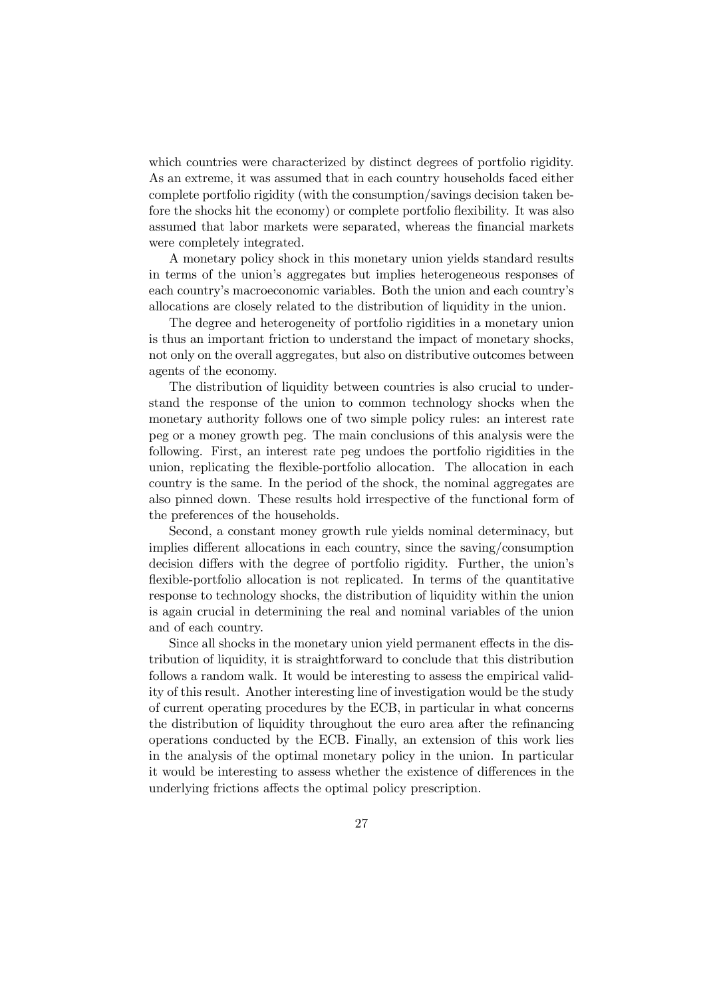which countries were characterized by distinct degrees of portfolio rigidity. As an extreme, it was assumed that in each country households faced either complete portfolio rigidity (with the consumption/savings decision taken before the shocks hit the economy) or complete portfolio flexibility. It was also assumed that labor markets were separated, whereas the financial markets were completely integrated.

A monetary policy shock in this monetary union yields standard results in terms of the union's aggregates but implies heterogeneous responses of each country's macroeconomic variables. Both the union and each country's allocations are closely related to the distribution of liquidity in the union.

The degree and heterogeneity of portfolio rigidities in a monetary union is thus an important friction to understand the impact of monetary shocks, not only on the overall aggregates, but also on distributive outcomes between agents of the economy.

The distribution of liquidity between countries is also crucial to understand the response of the union to common technology shocks when the monetary authority follows one of two simple policy rules: an interest rate peg or a money growth peg. The main conclusions of this analysis were the following. First, an interest rate peg undoes the portfolio rigidities in the union, replicating the flexible-portfolio allocation. The allocation in each country is the same. In the period of the shock, the nominal aggregates are also pinned down. These results hold irrespective of the functional form of the preferences of the households.

Second, a constant money growth rule yields nominal determinacy, but implies different allocations in each country, since the saving/consumption decision differs with the degree of portfolio rigidity. Further, the union's flexible-portfolio allocation is not replicated. In terms of the quantitative response to technology shocks, the distribution of liquidity within the union is again crucial in determining the real and nominal variables of the union and of each country.

Since all shocks in the monetary union yield permanent effects in the distribution of liquidity, it is straightforward to conclude that this distribution follows a random walk. It would be interesting to assess the empirical validity of this result. Another interesting line of investigation would be the study of current operating procedures by the ECB, in particular in what concerns the distribution of liquidity throughout the euro area after the refinancing operations conducted by the ECB. Finally, an extension of this work lies in the analysis of the optimal monetary policy in the union. In particular it would be interesting to assess whether the existence of differences in the underlying frictions affects the optimal policy prescription.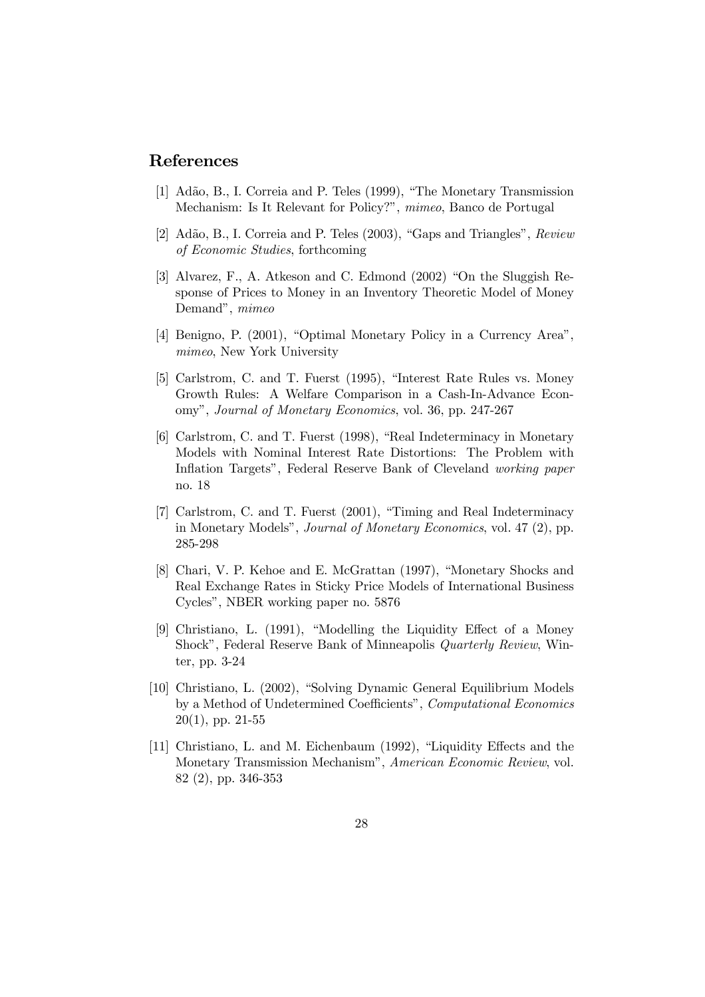## References

- [1] Adão, B., I. Correia and P. Teles (1999), "The Monetary Transmission Mechanism: Is It Relevant for Policy?", mimeo, Banco de Portugal
- [2] Adão, B., I. Correia and P. Teles (2003), "Gaps and Triangles", Review of Economic Studies, forthcoming
- [3] Alvarez, F., A. Atkeson and C. Edmond (2002) "On the Sluggish Response of Prices to Money in an Inventory Theoretic Model of Money Demand", mimeo
- [4] Benigno, P. (2001), "Optimal Monetary Policy in a Currency Area", mimeo, New York University
- [5] Carlstrom, C. and T. Fuerst (1995), "Interest Rate Rules vs. Money Growth Rules: A Welfare Comparison in a Cash-In-Advance Economy", Journal of Monetary Economics, vol. 36, pp. 247-267
- [6] Carlstrom, C. and T. Fuerst (1998), "Real Indeterminacy in Monetary Models with Nominal Interest Rate Distortions: The Problem with Inflation Targets", Federal Reserve Bank of Cleveland working paper no. 18
- [7] Carlstrom, C. and T. Fuerst (2001), "Timing and Real Indeterminacy in Monetary Models", Journal of Monetary Economics, vol. 47 (2), pp. 285-298
- [8] Chari, V. P. Kehoe and E. McGrattan (1997), "Monetary Shocks and Real Exchange Rates in Sticky Price Models of International Business Cycles", NBER working paper no. 5876
- [9] Christiano, L. (1991), "Modelling the Liquidity Effect of a Money Shock", Federal Reserve Bank of Minneapolis Quarterly Review, Winter, pp. 3-24
- [10] Christiano, L. (2002), "Solving Dynamic General Equilibrium Models by a Method of Undetermined Coefficients", Computational Economics  $20(1)$ , pp.  $21-55$
- [11] Christiano, L. and M. Eichenbaum (1992), "Liquidity Effects and the Monetary Transmission Mechanism", American Economic Review, vol. 82 (2), pp. 346-353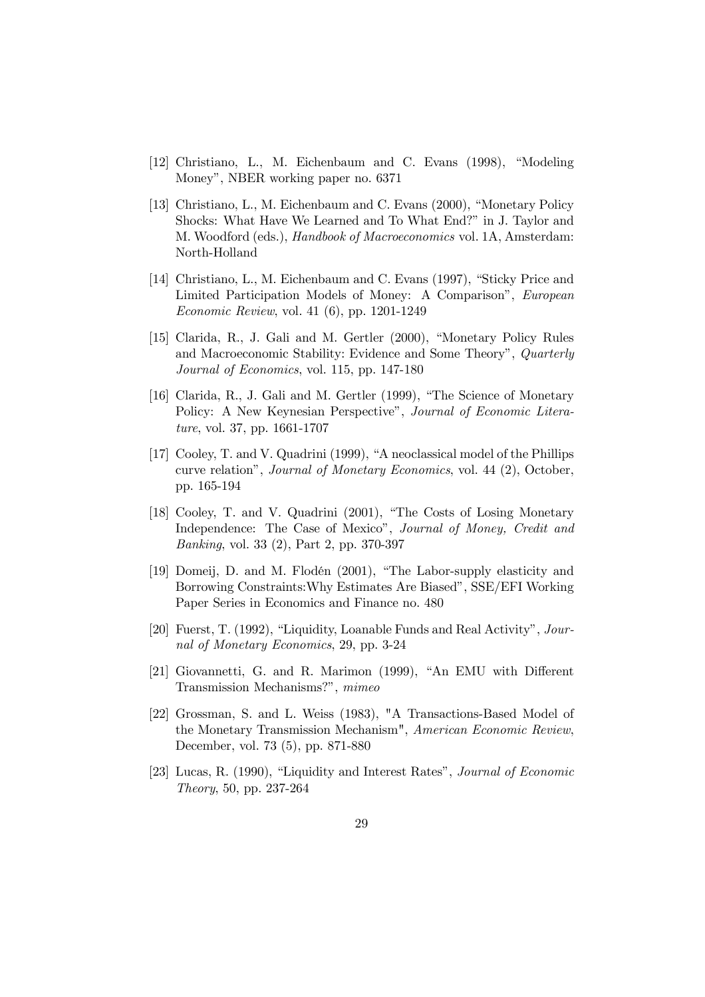- [12] Christiano, L., M. Eichenbaum and C. Evans (1998), "Modeling Money", NBER working paper no. 6371
- [13] Christiano, L., M. Eichenbaum and C. Evans (2000), "Monetary Policy Shocks: What Have We Learned and To What End?" in J. Taylor and M. Woodford (eds.), Handbook of Macroeconomics vol. 1A, Amsterdam: North-Holland
- [14] Christiano, L., M. Eichenbaum and C. Evans (1997), "Sticky Price and Limited Participation Models of Money: A Comparison", European Economic Review, vol. 41 (6), pp. 1201-1249
- [15] Clarida, R., J. Gali and M. Gertler (2000), "Monetary Policy Rules and Macroeconomic Stability: Evidence and Some Theory", Quarterly Journal of Economics, vol. 115, pp. 147-180
- [16] Clarida, R., J. Gali and M. Gertler (1999), "The Science of Monetary Policy: A New Keynesian Perspective", Journal of Economic Literature, vol. 37, pp. 1661-1707
- [17] Cooley, T. and V. Quadrini (1999), "A neoclassical model of the Phillips curve relation", Journal of Monetary Economics, vol. 44 (2), October, pp. 165-194
- [18] Cooley, T. and V. Quadrini (2001), "The Costs of Losing Monetary Independence: The Case of Mexico", Journal of Money, Credit and Banking, vol. 33 (2), Part 2, pp. 370-397
- [19] Domeij, D. and M. Flodén (2001), "The Labor-supply elasticity and Borrowing Constraints:Why Estimates Are Biased", SSE/EFI Working Paper Series in Economics and Finance no. 480
- [20] Fuerst, T. (1992), "Liquidity, Loanable Funds and Real Activity", Journal of Monetary Economics, 29, pp. 3-24
- [21] Giovannetti, G. and R. Marimon (1999), "An EMU with Different Transmission Mechanisms?", mimeo
- [22] Grossman, S. and L. Weiss (1983), "A Transactions-Based Model of the Monetary Transmission Mechanism", American Economic Review, December, vol. 73 (5), pp. 871-880
- [23] Lucas, R. (1990), "Liquidity and Interest Rates", Journal of Economic Theory, 50, pp. 237-264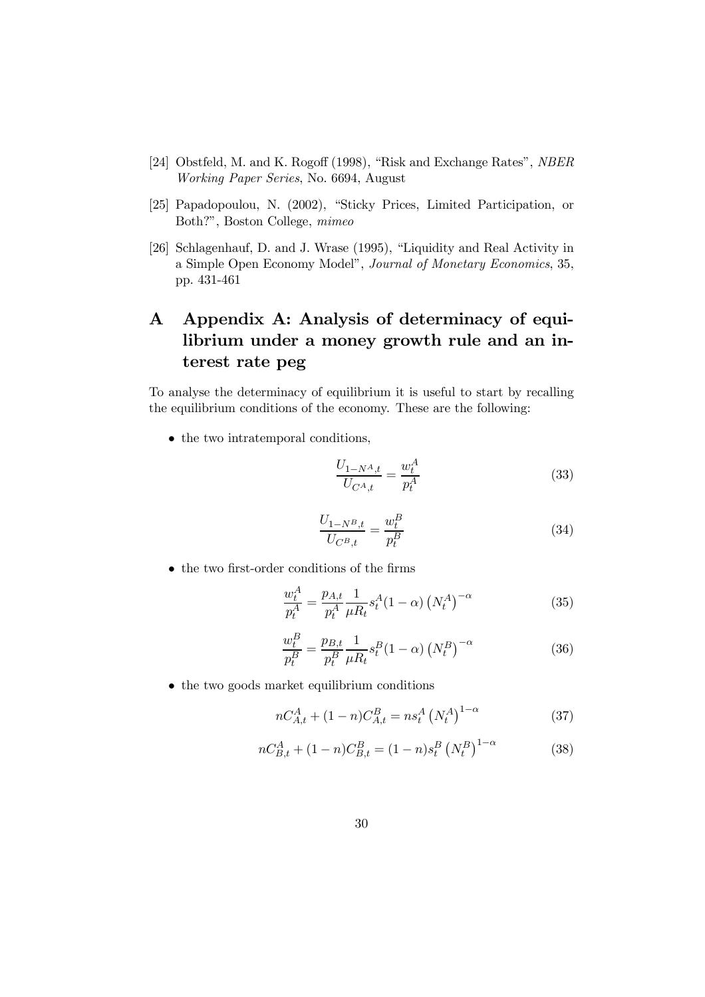- [24] Obstfeld, M. and K. Rogoff (1998), "Risk and Exchange Rates", NBER Working Paper Series, No. 6694, August
- [25] Papadopoulou, N. (2002), "Sticky Prices, Limited Participation, or Both?", Boston College, mimeo
- [26] Schlagenhauf, D. and J. Wrase (1995), "Liquidity and Real Activity in a Simple Open Economy Model", Journal of Monetary Economics, 35, pp. 431-461

# A Appendix A: Analysis of determinacy of equilibrium under a money growth rule and an interest rate peg

To analyse the determinacy of equilibrium it is useful to start by recalling the equilibrium conditions of the economy. These are the following:

• the two intratemporal conditions,

$$
\frac{U_{1-N^A,t}}{U_{C^A,t}} = \frac{w_t^A}{p_t^A} \tag{33}
$$

$$
\frac{U_{1-N^B,t}}{U_{C^B,t}} = \frac{w_t^B}{p_t^B}
$$
\n(34)

• the two first-order conditions of the firms

$$
\frac{w_t^A}{p_t^A} = \frac{p_{A,t}}{p_t^A} \frac{1}{\mu R_t} s_t^A (1 - \alpha) \left( N_t^A \right)^{-\alpha} \tag{35}
$$

$$
\frac{w_t^B}{p_t^B} = \frac{p_{B,t}}{p_t^B} \frac{1}{\mu R_t} s_t^B (1 - \alpha) \left( N_t^B \right)^{-\alpha} \tag{36}
$$

• the two goods market equilibrium conditions

$$
nC_{A,t}^{A} + (1 - n)C_{A,t}^{B} = n s_t^{A} (N_t^{A})^{1 - \alpha}
$$
 (37)

$$
nC_{B,t}^{A} + (1 - n)C_{B,t}^{B} = (1 - n)s_{t}^{B} (N_{t}^{B})^{1 - \alpha}
$$
 (38)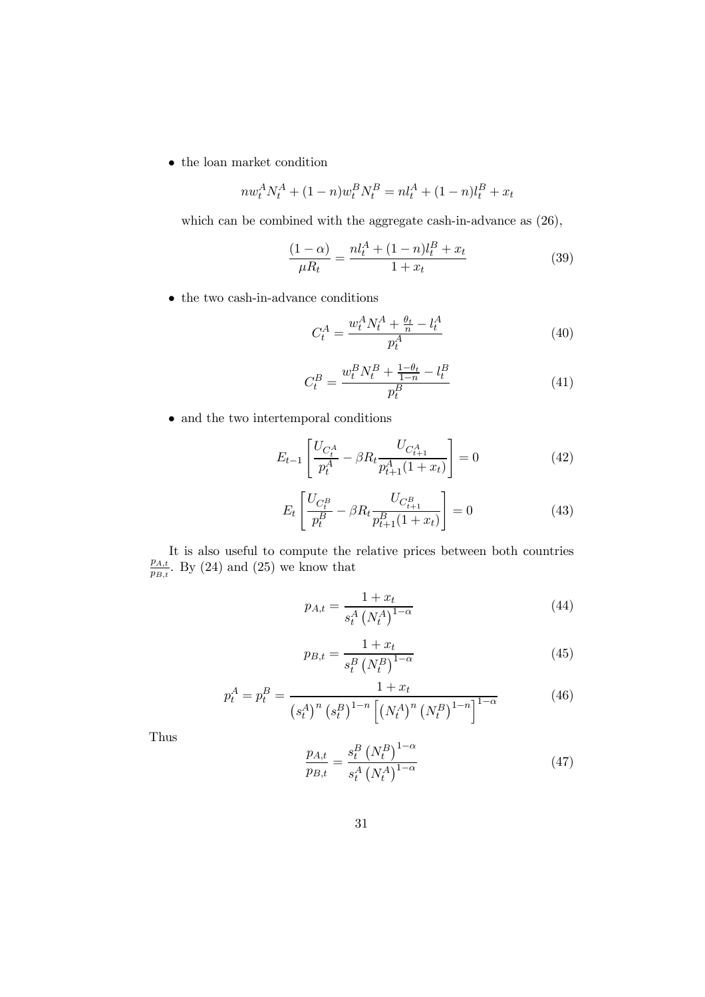$\bullet\,$  the loan market condition

$$
nw_t^A N_t^A + (1 - n) w_t^B N_t^B = n l_t^A + (1 - n) l_t^B + x_t
$$

which can be combined with the aggregate cash-in-advance as (26),

$$
\frac{(1-\alpha)}{\mu R_t} = \frac{n l_t^A + (1-n)l_t^B + x_t}{1+x_t} \tag{39}
$$

 $\bullet\,$  the two cash-in-advance conditions

$$
C_t^A = \frac{w_t^A N_t^A + \frac{\theta_t}{n} - l_t^A}{p_t^A} \tag{40}
$$

$$
C_t^B = \frac{w_t^B N_t^B + \frac{1-\theta_t}{1-n} - l_t^B}{p_t^B}
$$
\n(41)

 $\bullet\,$  and the two intertemporal conditions

$$
E_{t-1} \left[ \frac{U_{C_t^A}}{p_t^A} - \beta R_t \frac{U_{C_{t+1}^A}}{p_{t+1}^A (1+x_t)} \right] = 0 \tag{42}
$$

$$
E_t \left[ \frac{U_{C_t^B}}{p_t^B} - \beta R_t \frac{U_{C_{t+1}^B}}{p_{t+1}^B (1+x_t)} \right] = 0 \tag{43}
$$

It is also useful to compute the relative prices between both countries  $\frac{p_{A,t}}{p_{B,t}}$ . By (24) and (25) we know that

$$
p_{A,t} = \frac{1 + x_t}{s_t^A \left(N_t^A\right)^{1-\alpha}}\tag{44}
$$

$$
p_{B,t} = \frac{1 + x_t}{s_t^B \left(N_t^B\right)^{1-\alpha}}\tag{45}
$$

$$
p_t^A = p_t^B = \frac{1 + x_t}{\left(s_t^A\right)^n \left(s_t^B\right)^{1-n} \left[\left(N_t^A\right)^n \left(N_t^B\right)^{1-n}\right]^{1-\alpha}}
$$
(46)

Thus

$$
\frac{p_{A,t}}{p_{B,t}} = \frac{s_t^B \left(N_t^B\right)^{1-\alpha}}{s_t^A \left(N_t^A\right)^{1-\alpha}}\tag{47}
$$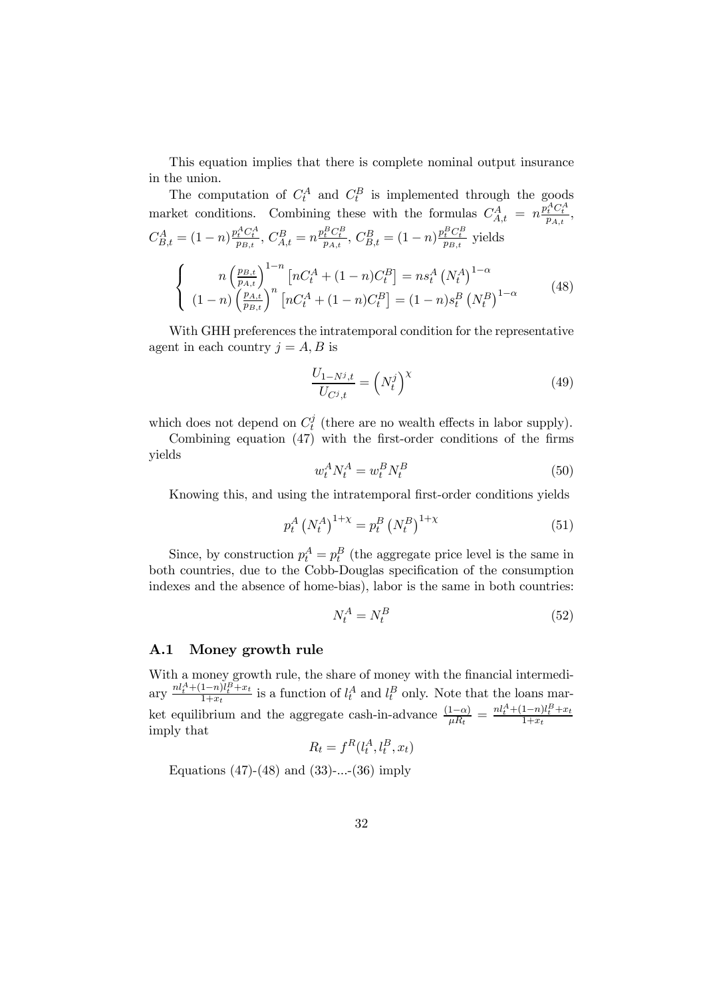This equation implies that there is complete nominal output insurance in the union.

The computation of  $C_t^A$  and  $C_t^B$  is implemented through the goods market conditions. Combining these with the formulas  $C_{A,t}^A = n \frac{p_t^A C_t^A}{p_{A,t}},$  $C_{B,t}^A = (1-n)\frac{p_t^A C_t^A}{p_{B,t}}, C_{A,t}^B = n\frac{p_t^B C_t^B}{p_{A,t}}, C_{B,t}^B = (1-n)\frac{p_t^B C_t^B}{p_{B,t}}$  yields  $\sqrt{ }$  $\frac{1}{2}$  $\mathbf{I}$  $n\left(\frac{p_{B,t}}{p_{A,t}}\right)^{1-n}\left[nC_t^A+(1-n)C_t^B\right]=ns_t^A\left(N_t^A\right)^{1-\alpha}$  $(1-n)\left(\frac{p_{A,t}}{p_{B,t}}\right)^n \left[nC_t^A + (1-n)C_t^B\right] = (1-n)s_t^B \left(N_t^B\right)^{1-\alpha}$  (48)

With GHH preferences the intratemporal condition for the representative agent in each country  $j = A, B$  is

$$
\frac{U_{1-N^j,t}}{U_{C^j,t}} = \left(N_t^j\right)^{\chi} \tag{49}
$$

which does not depend on  $C_t^j$  (there are no wealth effects in labor supply).

Combining equation (47) with the first-order conditions of the firms yields

$$
w_t^A N_t^A = w_t^B N_t^B \tag{50}
$$

Knowing this, and using the intratemporal first-order conditions yields

$$
p_t^A (N_t^A)^{1+\chi} = p_t^B (N_t^B)^{1+\chi} \tag{51}
$$

Since, by construction  $p_t^A = p_t^B$  (the aggregate price level is the same in both countries, due to the Cobb-Douglas specification of the consumption indexes and the absence of home-bias), labor is the same in both countries:

$$
N_t^A = N_t^B \tag{52}
$$

#### A.1 Money growth rule

With a money growth rule, the share of money with the financial intermediary  $\frac{nl_t^A + (1-n)l_t^B + x_t}{1+x_t}$  is a function of  $l_t^A$  and  $l_t^B$  only. Note that the loans market equilibrium and the aggregate cash-in-advance  $\frac{(1-\alpha)}{\mu R_t} = \frac{nl_t^A + (1-n)l_t^B + x_t}{1+x_t}$  $1+x_t$ imply that

$$
R_t = f^R(l_t^A, l_t^B, x_t)
$$

Equations  $(47)$ - $(48)$  and  $(33)$ -...- $(36)$  imply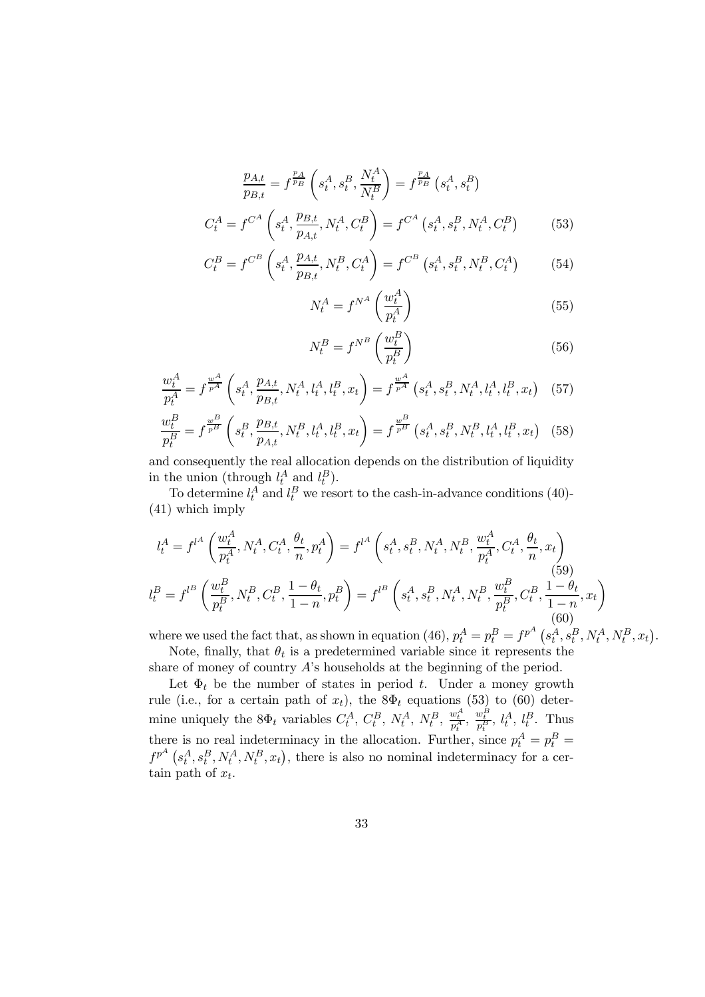$$
\frac{p_{A,t}}{p_{B,t}} = f^{\frac{p_A}{p_B}} \left( s_t^A, s_t^B, \frac{N_t^A}{N_t^B} \right) = f^{\frac{p_A}{p_B}} \left( s_t^A, s_t^B \right)
$$
\n
$$
C_t^A = f^{C^A} \left( s_t^A, \frac{p_{B,t}}{p_{A,t}}, N_t^A, C_t^B \right) = f^{C^A} \left( s_t^A, s_t^B, N_t^A, C_t^B \right) \tag{53}
$$

$$
C_t^B = f^{C^B} \left( s_t^A, \frac{p_{A,t}}{p_{B,t}}, N_t^B, C_t^A \right) = f^{C^B} \left( s_t^A, s_t^B, N_t^B, C_t^A \right) \tag{54}
$$

$$
N_t^A = f^{N^A} \left(\frac{w_t^A}{p_t^A}\right) \tag{55}
$$

$$
N_t^B = f^{N^B} \left(\frac{w_t^B}{p_t^B}\right) \tag{56}
$$

$$
\frac{w_t^A}{p_t^A} = f^{\frac{w^A}{p^A}} \left( s_t^A, \frac{p_{A,t}}{p_{B,t}}, N_t^A, l_t^A, l_t^B, x_t \right) = f^{\frac{w^A}{p^A}} \left( s_t^A, s_t^B, N_t^A, l_t^A, l_t^B, x_t \right) \tag{57}
$$

$$
\frac{w_t^B}{p_t^B} = f^{\frac{w^B}{p^B}}\left(s_t^B, \frac{p_{B,t}}{p_{A,t}}, N_t^B, l_t^A, l_t^B, x_t\right) = f^{\frac{w^B}{p^B}}\left(s_t^A, s_t^B, N_t^B, l_t^A, l_t^B, x_t\right) \tag{58}
$$

and consequently the real allocation depends on the distribution of liquidity in the union (through  $l_t^A$  and  $l_t^B$ ).

To determine  $l_t^A$  and  $l_t^B$  we resort to the cash-in-advance conditions (40)-(41) which imply

$$
l_t^A = f^{l^A} \left( \frac{w_t^A}{p_t^A}, N_t^A, C_t^A, \frac{\theta_t}{n}, p_t^A \right) = f^{l^A} \left( s_t^A, s_t^B, N_t^A, N_t^B, \frac{w_t^A}{p_t^A}, C_t^A, \frac{\theta_t}{n}, x_t \right)
$$
\n
$$
l_t^B = f^{l^B} \left( \frac{w_t^B}{p_t^B}, N_t^B, C_t^B, \frac{1 - \theta_t}{1 - n}, p_t^B \right) = f^{l^B} \left( s_t^A, s_t^B, N_t^A, N_t^B, \frac{w_t^B}{p_t^B}, C_t^B, \frac{1 - \theta_t}{1 - n}, x_t \right)
$$
\n(59)

where we used the fact that, as shown in equation (46),  $p_t^A = p_t^B = f^{p^A} (s_t^A, s_t^B, N_t^A, N_t^B, x_t)$ . Note, finally, that  $\theta_t$  is a predetermined variable since it represents the

share of money of country A's households at the beginning of the period.

Let  $\Phi_t$  be the number of states in period t. Under a money growth rule (i.e., for a certain path of  $x_t$ ), the 8 $\Phi_t$  equations (53) to (60) determine uniquely the  $8\Phi_t$  variables  $C_t^A$ ,  $C_t^B$ ,  $N_t^A$ ,  $N_t^B$ ,  $\frac{w_t^A}{p_t^A}$ ,  $\frac{w_t^B}{p_t^B}$ ,  $l_t^A$ ,  $l_t^B$ . Thus there is no real indeterminacy in the allocation. Further, since  $p_t^A = p_t^B =$  $f^{p^A}(s_t^A, s_t^B, N_t^A, N_t^B, x_t)$ , there is also no nominal indeterminacy for a certain path of  $x_t$ .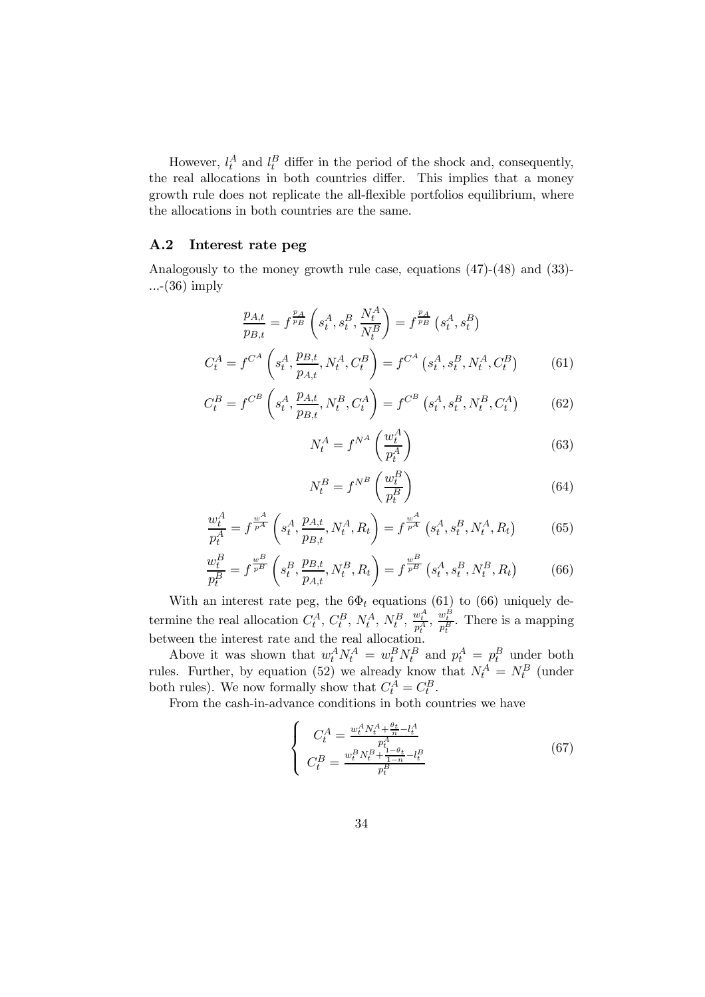However,  $l_t^A$  and  $l_t^B$  differ in the period of the shock and, consequently, the real allocations in both countries differ. This implies that a money growth rule does not replicate the all-flexible portfolios equilibrium, where the allocations in both countries are the same.

#### A.2 Interest rate peg

Analogously to the money growth rule case, equations (47)-(48) and (33)- ...-(36) imply

$$
\frac{p_{A,t}}{p_{B,t}} = f^{\frac{p_A}{p_B}} \left( s_t^A, s_t^B, \frac{N_t^A}{N_t^B} \right) = f^{\frac{p_A}{p_B}} \left( s_t^A, s_t^B \right)
$$
\n
$$
C_t^A = f^{C^A} \left( s_t^A, \frac{p_{B,t}}{p_{A,t}}, N_t^A, C_t^B \right) = f^{C^A} \left( s_t^A, s_t^B, N_t^A, C_t^B \right) \tag{61}
$$

$$
C_t^B = f^{C^B} \left( s_t^A, \frac{p_{A,t}}{p_{B,t}}, N_t^B, C_t^A \right) = f^{C^B} \left( s_t^A, s_t^B, N_t^B, C_t^A \right) \tag{62}
$$

$$
N_t^A = f^{N^A} \left(\frac{w_t^A}{p_t^A}\right) \tag{63}
$$

$$
N_t^B = f^{N^B} \left(\frac{w_t^B}{p_t^B}\right) \tag{64}
$$

$$
\frac{w_t^A}{p_t^A} = f^{\frac{w^A}{p^A}} \left( s_t^A, \frac{p_{A,t}}{p_{B,t}}, N_t^A, R_t \right) = f^{\frac{w^A}{p^A}} \left( s_t^A, s_t^B, N_t^A, R_t \right) \tag{65}
$$

$$
\frac{w_t^B}{p_t^B} = f^{\frac{w^B}{p^B}}\left(s_t^B, \frac{p_{B,t}}{p_{A,t}}, N_t^B, R_t\right) = f^{\frac{w^B}{p^B}}\left(s_t^A, s_t^B, N_t^B, R_t\right) \tag{66}
$$

With an interest rate peg, the  $6\Phi_t$  equations (61) to (66) uniquely determine the real allocation  $C_t^A$ ,  $C_t^B$ ,  $N_t^A$ ,  $N_t^B$ ,  $\frac{w_t^A}{p_t^A}$ ,  $\frac{w_t^B}{p_t^B}$ . There is a mapping between the interest rate and the real allocation.

Above it was shown that  $w_t^A N_t^A = w_t^B N_t^B$  and  $p_t^A = p_t^B$  under both rules. Further, by equation (52) we already know that  $N_t^A = N_t^B$  (under both rules). We now formally show that  $C_t^A = C_t^B$ .

From the cash-in-advance conditions in both countries we have

$$
\begin{cases}\nC_t^A = \frac{w_t^A N_t^A + \frac{\theta_t}{n} - l_t^A}{p_t^A} \\
C_t^B = \frac{w_t^B N_t^B + \frac{1 - \theta_t}{1 - n} - l_t^B}{p_t^B}\n\end{cases} \tag{67}
$$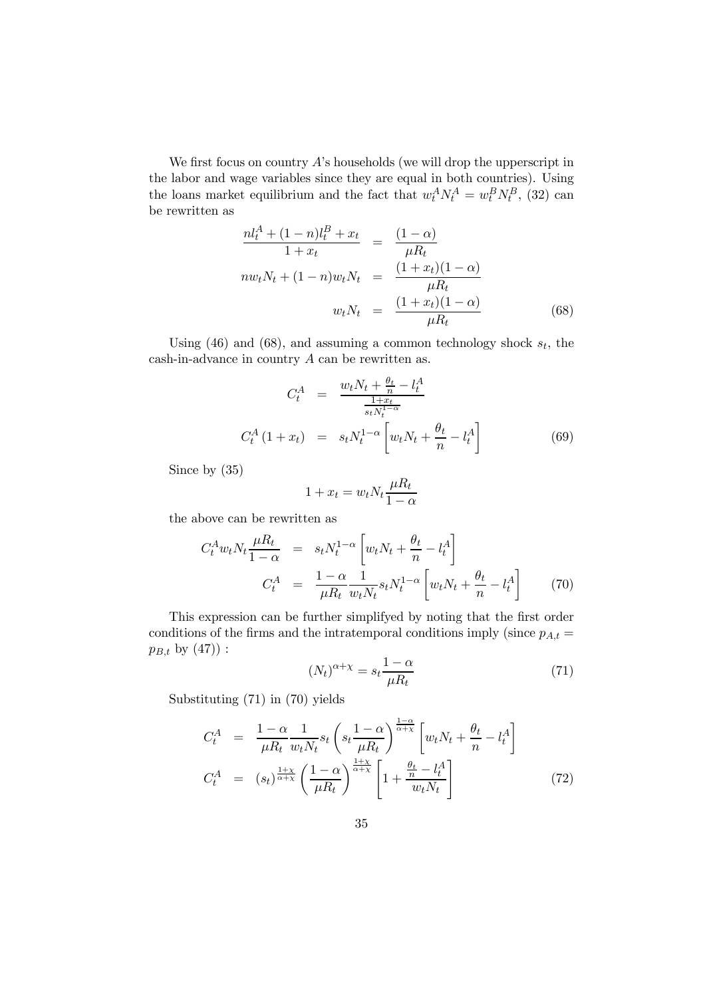We first focus on country  $A$ 's households (we will drop the upperscript in the labor and wage variables since they are equal in both countries). Using the loans market equilibrium and the fact that  $w_t^A N_t^A = w_t^B N_t^B$ , (32) can be rewritten as

$$
\frac{nl_t^A + (1 - n)l_t^B + x_t}{1 + x_t} = \frac{(1 - \alpha)}{\mu R_t} \n n w_t N_t + (1 - n) w_t N_t = \frac{(1 + x_t)(1 - \alpha)}{\mu R_t} \n w_t N_t = \frac{(1 + x_t)(1 - \alpha)}{\mu R_t}
$$
\n(68)

Using (46) and (68), and assuming a common technology shock  $s_t$ , the  $\cosh$ -in-advance in country  $A$  can be rewritten as.

$$
C_t^A = \frac{w_t N_t + \frac{\theta_t}{n} - l_t^A}{\frac{1 + x_t}{s_t N_t^{1 - \alpha}}}
$$
  

$$
C_t^A (1 + x_t) = s_t N_t^{1 - \alpha} \left[ w_t N_t + \frac{\theta_t}{n} - l_t^A \right]
$$
 (69)

Since by (35)

$$
1 + x_t = w_t N_t \frac{\mu R_t}{1 - \alpha}
$$

the above can be rewritten as

$$
C_t^A w_t N_t \frac{\mu R_t}{1 - \alpha} = s_t N_t^{1 - \alpha} \left[ w_t N_t + \frac{\theta_t}{n} - l_t^A \right]
$$
  

$$
C_t^A = \frac{1 - \alpha}{\mu R_t} \frac{1}{w_t N_t} s_t N_t^{1 - \alpha} \left[ w_t N_t + \frac{\theta_t}{n} - l_t^A \right]
$$
(70)

This expression can be further simplifyed by noting that the first order conditions of the firms and the intratemporal conditions imply (since  $p_{A,t} =$  $p_{B,t}$  by  $(47)$ :

$$
(N_t)^{\alpha + \chi} = s_t \frac{1 - \alpha}{\mu R_t} \tag{71}
$$

Substituting (71) in (70) yields

$$
C_t^A = \frac{1 - \alpha}{\mu R_t} \frac{1}{w_t N_t} s_t \left( s_t \frac{1 - \alpha}{\mu R_t} \right)^{\frac{1 - \alpha}{\alpha + \chi}} \left[ w_t N_t + \frac{\theta_t}{n} - l_t^A \right]
$$
  

$$
C_t^A = (s_t)^{\frac{1 + \chi}{\alpha + \chi}} \left( \frac{1 - \alpha}{\mu R_t} \right)^{\frac{1 + \chi}{\alpha + \chi}} \left[ 1 + \frac{\frac{\theta_t}{n} - l_t^A}{w_t N_t} \right]
$$
(72)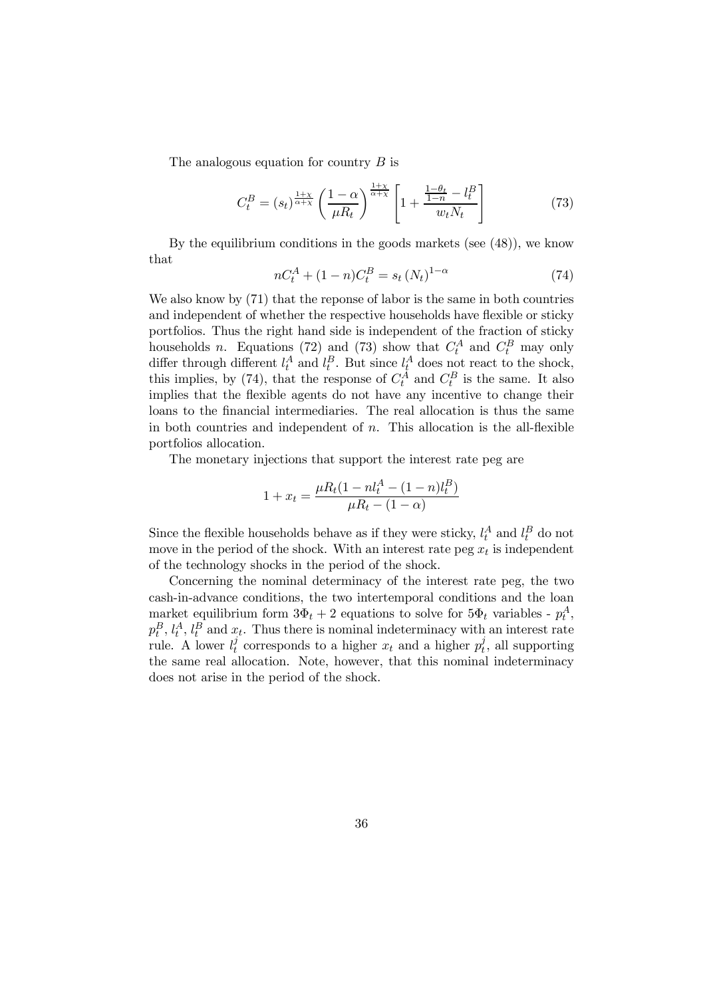The analogous equation for country  $B$  is

$$
C_t^B = (s_t)^{\frac{1+\chi}{\alpha+\chi}} \left(\frac{1-\alpha}{\mu R_t}\right)^{\frac{1+\chi}{\alpha+\chi}} \left[1 + \frac{\frac{1-\theta_t}{1-n} - l_t^B}{w_t N_t}\right] \tag{73}
$$

By the equilibrium conditions in the goods markets (see (48)), we know that

$$
nC_t^A + (1 - n)C_t^B = s_t (N_t)^{1 - \alpha}
$$
\n(74)

We also know by  $(71)$  that the reponse of labor is the same in both countries and independent of whether the respective households have flexible or sticky portfolios. Thus the right hand side is independent of the fraction of sticky households *n*. Equations (72) and (73) show that  $C_t^A$  and  $C_t^B$  may only differ through different  $l_t^A$  and  $l_t^B$ . But since  $l_t^A$  does not react to the shock, this implies, by (74), that the response of  $C_t^A$  and  $C_t^B$  is the same. It also implies that the flexible agents do not have any incentive to change their loans to the financial intermediaries. The real allocation is thus the same in both countries and independent of  $n$ . This allocation is the all-flexible portfolios allocation.

The monetary injections that support the interest rate peg are

$$
1 + x_t = \frac{\mu R_t (1 - n l_t^A - (1 - n) l_t^B)}{\mu R_t - (1 - \alpha)}
$$

Since the flexible households behave as if they were sticky,  $l_t^A$  and  $l_t^B$  do not move in the period of the shock. With an interest rate peg  $x_t$  is independent of the technology shocks in the period of the shock.

Concerning the nominal determinacy of the interest rate peg, the two cash-in-advance conditions, the two intertemporal conditions and the loan market equilibrium form  $3\Phi_t + 2$  equations to solve for  $5\Phi_t$  variables -  $p_t^A$ ,  $p_t^B$ ,  $l_t^A$ ,  $l_t^B$  and  $x_t$ . Thus there is nominal indeterminacy with an interest rate rule. A lower  $l_t^j$  corresponds to a higher  $x_t$  and a higher  $p_t^j$ , all supporting the same real allocation. Note, however, that this nominal indeterminacy does not arise in the period of the shock.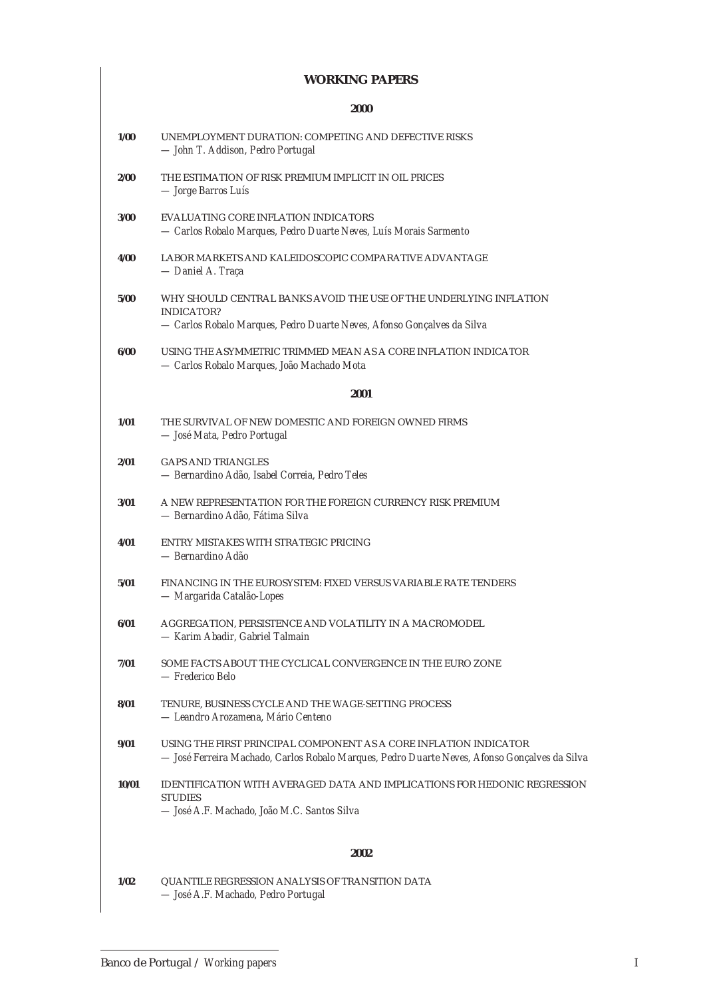#### **WORKING PAPERS**

# **2000 1/00** UNEMPLOYMENT DURATION: COMPETING AND DEFECTIVE RISKS *— John T. Addison, Pedro Portugal* **2/00** THE ESTIMATION OF RISK PREMIUM IMPLICIT IN OIL PRICES *— Jorge Barros Luís* **3/00** EVALUATING CORE INFLATION INDICATORS *— Carlos Robalo Marques, Pedro Duarte Neves, Luís Morais Sarmento* **4/00** LABOR MARKETS AND KALEIDOSCOPIC COMPARATIVE ADVANTAGE *— Daniel A. Traça* **5/00** WHY SHOULD CENTRAL BANKS AVOID THE USE OF THE UNDERLYING INFLATION INDICATOR? *— Carlos Robalo Marques, Pedro Duarte Neves, Afonso Gonçalves da Silva* **6/00** USING THE ASYMMETRIC TRIMMED MEAN AS A CORE INFLATION INDICATOR *— Carlos Robalo Marques, João Machado Mota* **2001 1/01** THE SURVIVAL OF NEW DOMESTIC AND FOREIGN OWNED FIRMS *— José Mata, Pedro Portugal* **2/01** GAPS AND TRIANGLES *— Bernardino Adão, Isabel Correia, Pedro Teles* **3/01** A NEW REPRESENTATION FOR THE FOREIGN CURRENCY RISK PREMIUM *— Bernardino Adão, Fátima Silva* **4/01** ENTRY MISTAKES WITH STRATEGIC PRICING *— Bernardino Adão* **5/01** FINANCING IN THE EUROSYSTEM: FIXED VERSUS VARIABLE RATE TENDERS *— Margarida Catalão-Lopes* **6/01** AGGREGATION, PERSISTENCE AND VOLATILITY IN A MACROMODEL *— Karim Abadir, Gabriel Talmain* **7/01** SOME FACTS ABOUT THE CYCLICAL CONVERGENCE IN THE EURO ZONE *— Frederico Belo* **8/01** TENURE, BUSINESS CYCLE AND THE WAGE-SETTING PROCESS *— Leandro Arozamena, Mário Centeno* **9/01** USING THE FIRST PRINCIPAL COMPONENT AS A CORE INFLATION INDICATOR *— José Ferreira Machado, Carlos Robalo Marques, Pedro Duarte Neves, Afonso Gonçalves da Silva* **10/01** IDENTIFICATION WITH AVERAGED DATA AND IMPLICATIONS FOR HEDONIC REGRESSION **STUDIES** *— José A.F. Machado, João M.C. Santos Silva* **2002 1/02** QUANTILE REGRESSION ANALYSIS OF TRANSITION DATA *— José A.F. Machado, Pedro Portugal*